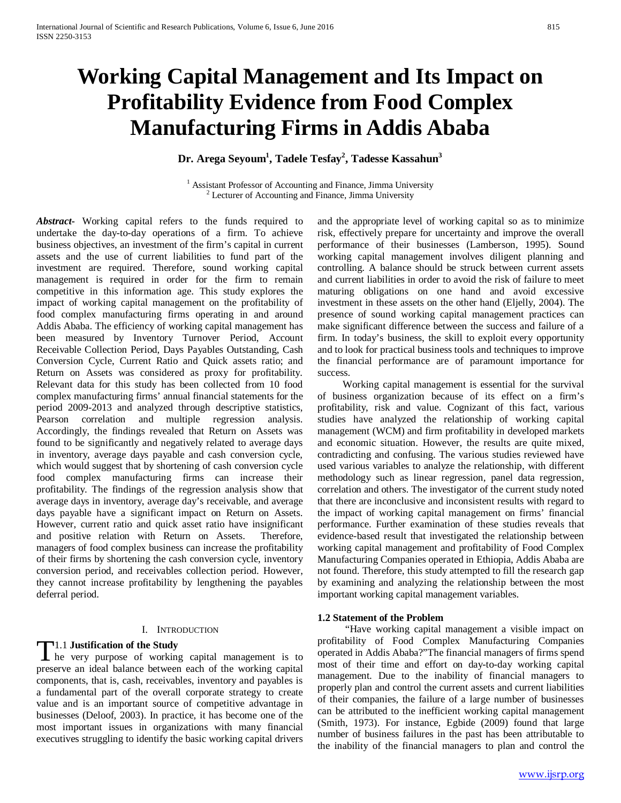# **Working Capital Management and Its Impact on Profitability Evidence from Food Complex Manufacturing Firms in Addis Ababa**

**Dr. Arega Seyoum1 , Tadele Tesfay2 , Tadesse Kassahun3**

<sup>1</sup> Assistant Professor of Accounting and Finance, Jimma University <sup>2</sup> Lecturer of Accounting and Finance, Jimma University

*Abstract***-** Working capital refers to the funds required to undertake the day-to-day operations of a firm. To achieve business objectives, an investment of the firm's capital in current assets and the use of current liabilities to fund part of the investment are required. Therefore, sound working capital management is required in order for the firm to remain competitive in this information age. This study explores the impact of working capital management on the profitability of food complex manufacturing firms operating in and around Addis Ababa. The efficiency of working capital management has been measured by Inventory Turnover Period, Account Receivable Collection Period, Days Payables Outstanding, Cash Conversion Cycle, Current Ratio and Quick assets ratio; and Return on Assets was considered as proxy for profitability. Relevant data for this study has been collected from 10 food complex manufacturing firms' annual financial statements for the period 2009-2013 and analyzed through descriptive statistics, Pearson correlation and multiple regression analysis. Accordingly, the findings revealed that Return on Assets was found to be significantly and negatively related to average days in inventory, average days payable and cash conversion cycle, which would suggest that by shortening of cash conversion cycle food complex manufacturing firms can increase their profitability. The findings of the regression analysis show that average days in inventory, average day's receivable, and average days payable have a significant impact on Return on Assets. However, current ratio and quick asset ratio have insignificant and positive relation with Return on Assets. Therefore, managers of food complex business can increase the profitability of their firms by shortening the cash conversion cycle, inventory conversion period, and receivables collection period. However, they cannot increase profitability by lengthening the payables deferral period.

## I. INTRODUCTION

# 1.1 **Justification of the Study**

 $\prod$ 1.1 Justification of the Study<br>
the very purpose of working capital management is to preserve an ideal balance between each of the working capital components, that is, cash, receivables, inventory and payables is a fundamental part of the overall corporate strategy to create value and is an important source of competitive advantage in businesses (Deloof, 2003). In practice, it has become one of the most important issues in organizations with many financial executives struggling to identify the basic working capital drivers

and the appropriate level of working capital so as to minimize risk, effectively prepare for uncertainty and improve the overall performance of their businesses (Lamberson, 1995). Sound working capital management involves diligent planning and controlling. A balance should be struck between current assets and current liabilities in order to avoid the risk of failure to meet maturing obligations on one hand and avoid excessive investment in these assets on the other hand (Eljelly, 2004). The presence of sound working capital management practices can make significant difference between the success and failure of a firm. In today's business, the skill to exploit every opportunity and to look for practical business tools and techniques to improve the financial performance are of paramount importance for success.

 Working capital management is essential for the survival of business organization because of its effect on a firm's profitability, risk and value. Cognizant of this fact, various studies have analyzed the relationship of working capital management (WCM) and firm profitability in developed markets and economic situation. However, the results are quite mixed, contradicting and confusing. The various studies reviewed have used various variables to analyze the relationship, with different methodology such as linear regression, panel data regression, correlation and others. The investigator of the current study noted that there are inconclusive and inconsistent results with regard to the impact of working capital management on firms' financial performance. Further examination of these studies reveals that evidence-based result that investigated the relationship between working capital management and profitability of Food Complex Manufacturing Companies operated in Ethiopia, Addis Ababa are not found. Therefore, this study attempted to fill the research gap by examining and analyzing the relationship between the most important working capital management variables.

#### **1.2 Statement of the Problem**

 "Have working capital management a visible impact on profitability of Food Complex Manufacturing Companies operated in Addis Ababa?"The financial managers of firms spend most of their time and effort on day-to-day working capital management. Due to the inability of financial managers to properly plan and control the current assets and current liabilities of their companies, the failure of a large number of businesses can be attributed to the inefficient working capital management (Smith, 1973). For instance, Egbide (2009) found that large number of business failures in the past has been attributable to the inability of the financial managers to plan and control the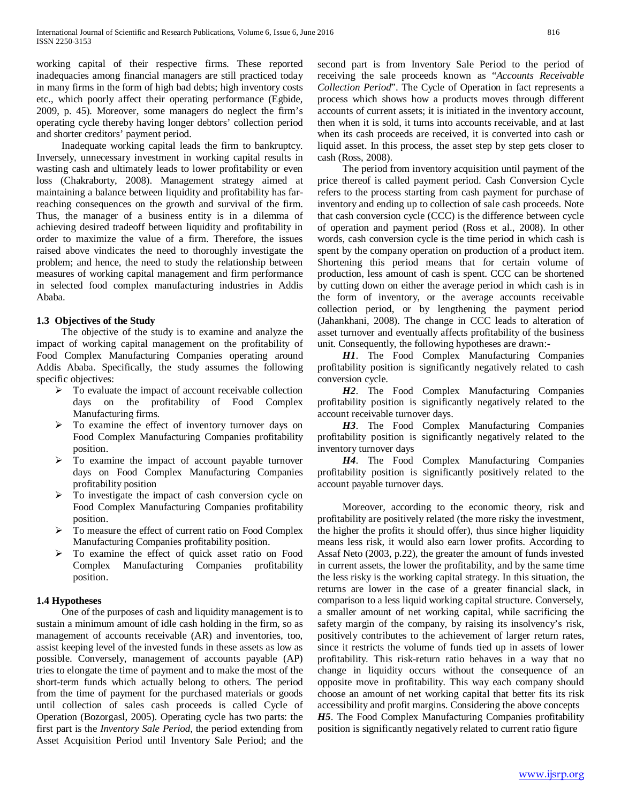working capital of their respective firms. These reported inadequacies among financial managers are still practiced today in many firms in the form of high bad debts; high inventory costs etc., which poorly affect their operating performance (Egbide, 2009, p. 45). Moreover, some managers do neglect the firm's operating cycle thereby having longer debtors' collection period and shorter creditors' payment period.

 Inadequate working capital leads the firm to bankruptcy. Inversely, unnecessary investment in working capital results in wasting cash and ultimately leads to lower profitability or even loss (Chakraborty, 2008). Management strategy aimed at maintaining a balance between liquidity and profitability has farreaching consequences on the growth and survival of the firm. Thus, the manager of a business entity is in a dilemma of achieving desired tradeoff between liquidity and profitability in order to maximize the value of a firm. Therefore, the issues raised above vindicates the need to thoroughly investigate the problem; and hence, the need to study the relationship between measures of working capital management and firm performance in selected food complex manufacturing industries in Addis Ababa.

## **1.3 Objectives of the Study**

 The objective of the study is to examine and analyze the impact of working capital management on the profitability of Food Complex Manufacturing Companies operating around Addis Ababa. Specifically, the study assumes the following specific objectives:

- $\triangleright$  To evaluate the impact of account receivable collection days on the profitability of Food Complex Manufacturing firms.
- $\triangleright$  To examine the effect of inventory turnover days on Food Complex Manufacturing Companies profitability position.
- $\triangleright$  To examine the impact of account payable turnover days on Food Complex Manufacturing Companies profitability position
- To investigate the impact of cash conversion cycle on Food Complex Manufacturing Companies profitability position.
- To measure the effect of current ratio on Food Complex Manufacturing Companies profitability position.
- To examine the effect of quick asset ratio on Food Complex Manufacturing Companies profitability position.

## **1.4 Hypotheses**

 One of the purposes of cash and liquidity management is to sustain a minimum amount of idle cash holding in the firm, so as management of accounts receivable (AR) and inventories, too, assist keeping level of the invested funds in these assets as low as possible. Conversely, management of accounts payable (AP) tries to elongate the time of payment and to make the most of the short-term funds which actually belong to others. The period from the time of payment for the purchased materials or goods until collection of sales cash proceeds is called Cycle of Operation (Bozorgasl, 2005). Operating cycle has two parts: the first part is the *Inventory Sale Period*, the period extending from Asset Acquisition Period until Inventory Sale Period; and the second part is from Inventory Sale Period to the period of receiving the sale proceeds known as "*Accounts Receivable Collection Period*". The Cycle of Operation in fact represents a process which shows how a products moves through different accounts of current assets; it is initiated in the inventory account, then when it is sold, it turns into accounts receivable, and at last when its cash proceeds are received, it is converted into cash or liquid asset. In this process, the asset step by step gets closer to cash (Ross, 2008).

 The period from inventory acquisition until payment of the price thereof is called payment period. Cash Conversion Cycle refers to the process starting from cash payment for purchase of inventory and ending up to collection of sale cash proceeds. Note that cash conversion cycle (CCC) is the difference between cycle of operation and payment period (Ross et al., 2008). In other words, cash conversion cycle is the time period in which cash is spent by the company operation on production of a product item. Shortening this period means that for certain volume of production, less amount of cash is spent. CCC can be shortened by cutting down on either the average period in which cash is in the form of inventory, or the average accounts receivable collection period, or by lengthening the payment period (Jahankhani, 2008). The change in CCC leads to alteration of asset turnover and eventually affects profitability of the business unit. Consequently, the following hypotheses are drawn:-

 *H1*. The Food Complex Manufacturing Companies profitability position is significantly negatively related to cash conversion cycle.

 *H2*. The Food Complex Manufacturing Companies profitability position is significantly negatively related to the account receivable turnover days.

 *H3*. The Food Complex Manufacturing Companies profitability position is significantly negatively related to the inventory turnover days

 *H4*. The Food Complex Manufacturing Companies profitability position is significantly positively related to the account payable turnover days.

 Moreover, according to the economic theory, risk and profitability are positively related (the more risky the investment, the higher the profits it should offer), thus since higher liquidity means less risk, it would also earn lower profits. According to Assaf Neto (2003, p.22), the greater the amount of funds invested in current assets, the lower the profitability, and by the same time the less risky is the working capital strategy. In this situation, the returns are lower in the case of a greater financial slack, in comparison to a less liquid working capital structure. Conversely, a smaller amount of net working capital, while sacrificing the safety margin of the company, by raising its insolvency's risk, positively contributes to the achievement of larger return rates, since it restricts the volume of funds tied up in assets of lower profitability. This risk-return ratio behaves in a way that no change in liquidity occurs without the consequence of an opposite move in profitability. This way each company should choose an amount of net working capital that better fits its risk accessibility and profit margins. Considering the above concepts *H5*. The Food Complex Manufacturing Companies profitability position is significantly negatively related to current ratio figure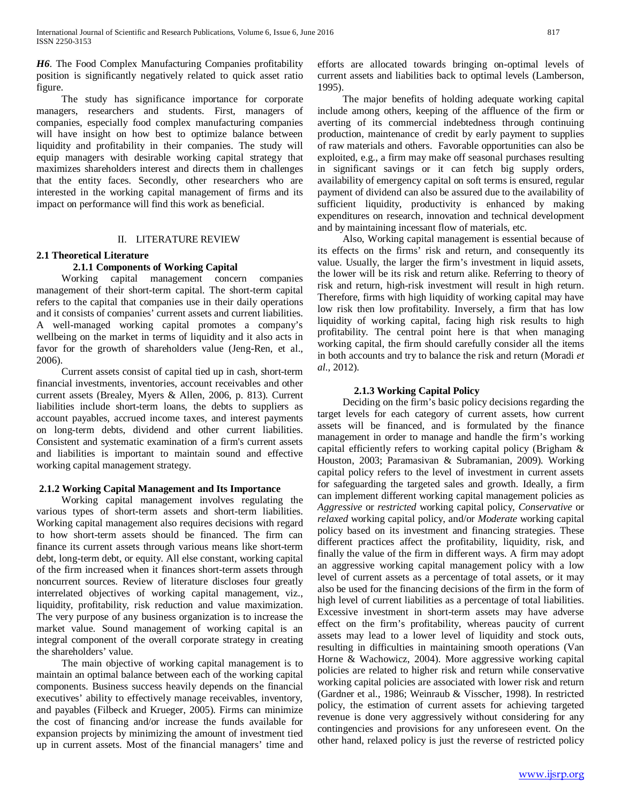*H6*. The Food Complex Manufacturing Companies profitability position is significantly negatively related to quick asset ratio figure.

 The study has significance importance for corporate managers, researchers and students. First, managers of companies, especially food complex manufacturing companies will have insight on how best to optimize balance between liquidity and profitability in their companies. The study will equip managers with desirable working capital strategy that maximizes shareholders interest and directs them in challenges that the entity faces. Secondly, other researchers who are interested in the working capital management of firms and its impact on performance will find this work as beneficial.

## II. LITERATURE REVIEW

## **2.1 Theoretical Literature**

# **2.1.1 Components of Working Capital**

 Working capital management concern companies management of their short-term capital. The short-term capital refers to the capital that companies use in their daily operations and it consists of companies' current assets and current liabilities. A well-managed working capital promotes a company's wellbeing on the market in terms of liquidity and it also acts in favor for the growth of shareholders value (Jeng-Ren, et al., 2006).

 Current assets consist of capital tied up in cash, short-term financial investments, inventories, account receivables and other current assets (Brealey, Myers & Allen, 2006, p. 813). Current liabilities include short-term loans, the debts to suppliers as account payables, accrued income taxes, and interest payments on long-term debts, dividend and other current liabilities. Consistent and systematic examination of a firm's current assets and liabilities is important to maintain sound and effective working capital management strategy.

## **2.1.2 Working Capital Management and Its Importance**

 Working capital management involves regulating the various types of short-term assets and short-term liabilities. Working capital management also requires decisions with regard to how short-term assets should be financed. The firm can finance its current assets through various means like short-term debt, long-term debt, or equity. All else constant, working capital of the firm increased when it finances short-term assets through noncurrent sources. Review of literature discloses four greatly interrelated objectives of working capital management, viz., liquidity, profitability, risk reduction and value maximization. The very purpose of any business organization is to increase the market value. Sound management of working capital is an integral component of the overall corporate strategy in creating the shareholders' value.

 The main objective of working capital management is to maintain an optimal balance between each of the working capital components. Business success heavily depends on the financial executives' ability to effectively manage receivables, inventory, and payables (Filbeck and Krueger, 2005). Firms can minimize the cost of financing and/or increase the funds available for expansion projects by minimizing the amount of investment tied up in current assets. Most of the financial managers' time and efforts are allocated towards bringing on-optimal levels of current assets and liabilities back to optimal levels (Lamberson, 1995).

 The major benefits of holding adequate working capital include among others, keeping of the affluence of the firm or averting of its commercial indebtedness through continuing production, maintenance of credit by early payment to supplies of raw materials and others. Favorable opportunities can also be exploited, e.g., a firm may make off seasonal purchases resulting in significant savings or it can fetch big supply orders, availability of emergency capital on soft terms is ensured, regular payment of dividend can also be assured due to the availability of sufficient liquidity, productivity is enhanced by making expenditures on research, innovation and technical development and by maintaining incessant flow of materials, etc.

 Also, Working capital management is essential because of its effects on the firms' risk and return, and consequently its value. Usually, the larger the firm's investment in liquid assets, the lower will be its risk and return alike. Referring to theory of risk and return, high-risk investment will result in high return. Therefore, firms with high liquidity of working capital may have low risk then low profitability. Inversely, a firm that has low liquidity of working capital, facing high risk results to high profitability. The central point here is that when managing working capital, the firm should carefully consider all the items in both accounts and try to balance the risk and return (Moradi *et al.*, 2012).

## **2.1.3 Working Capital Policy**

 Deciding on the firm's basic policy decisions regarding the target levels for each category of current assets, how current assets will be financed, and is formulated by the finance management in order to manage and handle the firm's working capital efficiently refers to working capital policy (Brigham & Houston, 2003; Paramasivan & Subramanian, 2009). Working capital policy refers to the level of investment in current assets for safeguarding the targeted sales and growth. Ideally, a firm can implement different working capital management policies as *Aggressive* or *restricted* working capital policy, *Conservative* or *relaxed* working capital policy, and/or *Moderate* working capital policy based on its investment and financing strategies. These different practices affect the profitability, liquidity, risk, and finally the value of the firm in different ways. A firm may adopt an aggressive working capital management policy with a low level of current assets as a percentage of total assets, or it may also be used for the financing decisions of the firm in the form of high level of current liabilities as a percentage of total liabilities. Excessive investment in short-term assets may have adverse effect on the firm's profitability, whereas paucity of current assets may lead to a lower level of liquidity and stock outs, resulting in difficulties in maintaining smooth operations (Van Horne & Wachowicz, 2004). More aggressive working capital policies are related to higher risk and return while conservative working capital policies are associated with lower risk and return (Gardner et al., 1986; Weinraub & Visscher, 1998). In restricted policy, the estimation of current assets for achieving targeted revenue is done very aggressively without considering for any contingencies and provisions for any unforeseen event. On the other hand, relaxed policy is just the reverse of restricted policy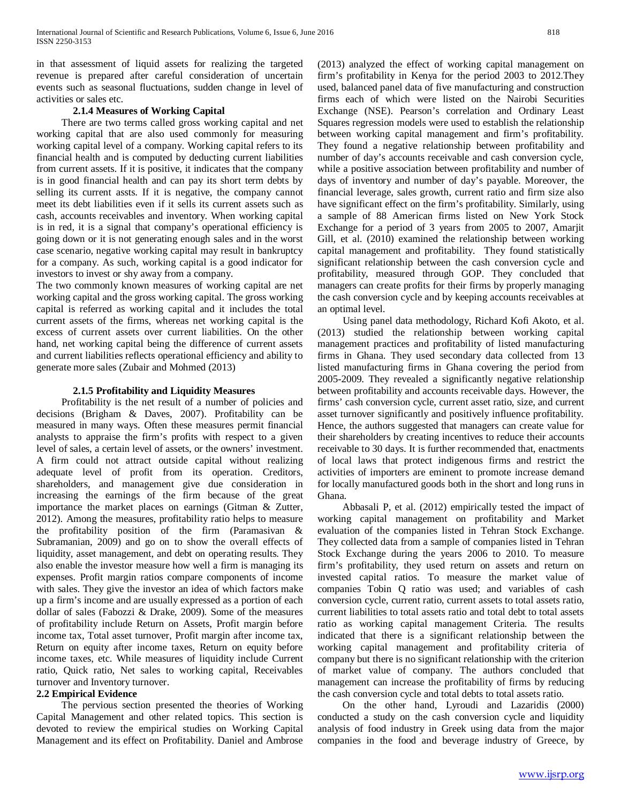in that assessment of liquid assets for realizing the targeted revenue is prepared after careful consideration of uncertain events such as seasonal fluctuations, sudden change in level of activities or sales etc.

## **2.1.4 Measures of Working Capital**

 There are two terms called gross working capital and net working capital that are also used commonly for measuring working capital level of a company. Working capital refers to its financial health and is computed by deducting current liabilities from current assets. If it is positive, it indicates that the company is in good financial health and can pay its short term debts by selling its current assts. If it is negative, the company cannot meet its debt liabilities even if it sells its current assets such as cash, accounts receivables and inventory. When working capital is in red, it is a signal that company's operational efficiency is going down or it is not generating enough sales and in the worst case scenario, negative working capital may result in bankruptcy for a company. As such, working capital is a good indicator for investors to invest or shy away from a company.

The two commonly known measures of working capital are net working capital and the gross working capital. The gross working capital is referred as working capital and it includes the total current assets of the firms, whereas net working capital is the excess of current assets over current liabilities. On the other hand, net working capital being the difference of current assets and current liabilities reflects operational efficiency and ability to generate more sales (Zubair and Mohmed (2013)

## **2.1.5 Profitability and Liquidity Measures**

 Profitability is the net result of a number of policies and decisions (Brigham & Daves, 2007). Profitability can be measured in many ways. Often these measures permit financial analysts to appraise the firm's profits with respect to a given level of sales, a certain level of assets, or the owners' investment. A firm could not attract outside capital without realizing adequate level of profit from its operation. Creditors, shareholders, and management give due consideration in increasing the earnings of the firm because of the great importance the market places on earnings (Gitman & Zutter, 2012). Among the measures, profitability ratio helps to measure the profitability position of the firm (Paramasivan & Subramanian, 2009) and go on to show the overall effects of liquidity, asset management, and debt on operating results. They also enable the investor measure how well a firm is managing its expenses. Profit margin ratios compare components of income with sales. They give the investor an idea of which factors make up a firm's income and are usually expressed as a portion of each dollar of sales (Fabozzi & Drake, 2009). Some of the measures of profitability include Return on Assets, Profit margin before income tax, Total asset turnover, Profit margin after income tax, Return on equity after income taxes, Return on equity before income taxes, etc. While measures of liquidity include Current ratio, Quick ratio, Net sales to working capital, Receivables turnover and Inventory turnover.

# **2.2 Empirical Evidence**

 The pervious section presented the theories of Working Capital Management and other related topics. This section is devoted to review the empirical studies on Working Capital Management and its effect on Profitability. Daniel and Ambrose (2013) analyzed the effect of working capital management on firm's profitability in Kenya for the period 2003 to 2012.They used, balanced panel data of five manufacturing and construction firms each of which were listed on the Nairobi Securities Exchange (NSE). Pearson's correlation and Ordinary Least Squares regression models were used to establish the relationship between working capital management and firm's profitability. They found a negative relationship between profitability and number of day's accounts receivable and cash conversion cycle, while a positive association between profitability and number of days of inventory and number of day's payable. Moreover, the financial leverage, sales growth, current ratio and firm size also have significant effect on the firm's profitability. Similarly, using a sample of 88 American firms listed on New York Stock Exchange for a period of 3 years from 2005 to 2007, Amarjit Gill, et al. (2010) examined the relationship between working capital management and profitability. They found statistically significant relationship between the cash conversion cycle and profitability, measured through GOP. They concluded that managers can create profits for their firms by properly managing the cash conversion cycle and by keeping accounts receivables at an optimal level.

 Using panel data methodology, Richard Kofi Akoto, et al. (2013) studied the relationship between working capital management practices and profitability of listed manufacturing firms in Ghana. They used secondary data collected from 13 listed manufacturing firms in Ghana covering the period from 2005-2009. They revealed a significantly negative relationship between profitability and accounts receivable days. However, the firms' cash conversion cycle, current asset ratio, size, and current asset turnover significantly and positively influence profitability. Hence, the authors suggested that managers can create value for their shareholders by creating incentives to reduce their accounts receivable to 30 days. It is further recommended that, enactments of local laws that protect indigenous firms and restrict the activities of importers are eminent to promote increase demand for locally manufactured goods both in the short and long runs in Ghana.

 Abbasali P, et al. (2012) empirically tested the impact of working capital management on profitability and Market evaluation of the companies listed in Tehran Stock Exchange. They collected data from a sample of companies listed in Tehran Stock Exchange during the years 2006 to 2010. To measure firm's profitability, they used return on assets and return on invested capital ratios. To measure the market value of companies Tobin Q ratio was used; and variables of cash conversion cycle, current ratio, current assets to total assets ratio, current liabilities to total assets ratio and total debt to total assets ratio as working capital management Criteria. The results indicated that there is a significant relationship between the working capital management and profitability criteria of company but there is no significant relationship with the criterion of market value of company. The authors concluded that management can increase the profitability of firms by reducing the cash conversion cycle and total debts to total assets ratio.

 On the other hand, Lyroudi and Lazaridis (2000) conducted a study on the cash conversion cycle and liquidity analysis of food industry in Greek using data from the major companies in the food and beverage industry of Greece, by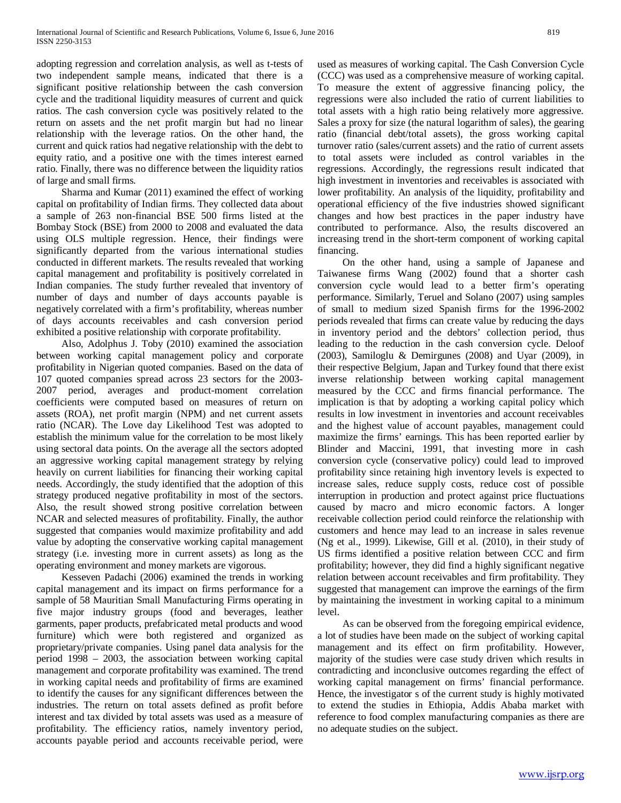adopting regression and correlation analysis, as well as t-tests of two independent sample means, indicated that there is a significant positive relationship between the cash conversion cycle and the traditional liquidity measures of current and quick ratios. The cash conversion cycle was positively related to the return on assets and the net profit margin but had no linear relationship with the leverage ratios. On the other hand, the current and quick ratios had negative relationship with the debt to equity ratio, and a positive one with the times interest earned ratio. Finally, there was no difference between the liquidity ratios of large and small firms.

 Sharma and Kumar (2011) examined the effect of working capital on profitability of Indian firms. They collected data about a sample of 263 non-financial BSE 500 firms listed at the Bombay Stock (BSE) from 2000 to 2008 and evaluated the data using OLS multiple regression. Hence, their findings were significantly departed from the various international studies conducted in different markets. The results revealed that working capital management and profitability is positively correlated in Indian companies. The study further revealed that inventory of number of days and number of days accounts payable is negatively correlated with a firm's profitability, whereas number of days accounts receivables and cash conversion period exhibited a positive relationship with corporate profitability.

 Also, Adolphus J. Toby (2010) examined the association between working capital management policy and corporate profitability in Nigerian quoted companies. Based on the data of 107 quoted companies spread across 23 sectors for the 2003- 2007 period, averages and product-moment correlation coefficients were computed based on measures of return on assets (ROA), net profit margin (NPM) and net current assets ratio (NCAR). The Love day Likelihood Test was adopted to establish the minimum value for the correlation to be most likely using sectoral data points. On the average all the sectors adopted an aggressive working capital management strategy by relying heavily on current liabilities for financing their working capital needs. Accordingly, the study identified that the adoption of this strategy produced negative profitability in most of the sectors. Also, the result showed strong positive correlation between NCAR and selected measures of profitability. Finally, the author suggested that companies would maximize profitability and add value by adopting the conservative working capital management strategy (i.e. investing more in current assets) as long as the operating environment and money markets are vigorous.

 Kesseven Padachi (2006) examined the trends in working capital management and its impact on firms performance for a sample of 58 Mauritian Small Manufacturing Firms operating in five major industry groups (food and beverages, leather garments, paper products, prefabricated metal products and wood furniture) which were both registered and organized as proprietary/private companies. Using panel data analysis for the period 1998 – 2003, the association between working capital management and corporate profitability was examined. The trend in working capital needs and profitability of firms are examined to identify the causes for any significant differences between the industries. The return on total assets defined as profit before interest and tax divided by total assets was used as a measure of profitability. The efficiency ratios, namely inventory period, accounts payable period and accounts receivable period, were used as measures of working capital. The Cash Conversion Cycle (CCC) was used as a comprehensive measure of working capital. To measure the extent of aggressive financing policy, the regressions were also included the ratio of current liabilities to total assets with a high ratio being relatively more aggressive. Sales a proxy for size (the natural logarithm of sales), the gearing ratio (financial debt/total assets), the gross working capital turnover ratio (sales/current assets) and the ratio of current assets to total assets were included as control variables in the regressions. Accordingly, the regressions result indicated that high investment in inventories and receivables is associated with lower profitability. An analysis of the liquidity, profitability and operational efficiency of the five industries showed significant changes and how best practices in the paper industry have contributed to performance. Also, the results discovered an increasing trend in the short-term component of working capital financing.

 On the other hand, using a sample of Japanese and Taiwanese firms Wang (2002) found that a shorter cash conversion cycle would lead to a better firm's operating performance. Similarly, Teruel and Solano (2007) using samples of small to medium sized Spanish firms for the 1996-2002 periods revealed that firms can create value by reducing the days in inventory period and the debtors' collection period, thus leading to the reduction in the cash conversion cycle. Deloof (2003), Samiloglu & Demirgunes (2008) and Uyar (2009), in their respective Belgium, Japan and Turkey found that there exist inverse relationship between working capital management measured by the CCC and firms financial performance. The implication is that by adopting a working capital policy which results in low investment in inventories and account receivables and the highest value of account payables, management could maximize the firms' earnings. This has been reported earlier by Blinder and Maccini, 1991, that investing more in cash conversion cycle (conservative policy) could lead to improved profitability since retaining high inventory levels is expected to increase sales, reduce supply costs, reduce cost of possible interruption in production and protect against price fluctuations caused by macro and micro economic factors. A longer receivable collection period could reinforce the relationship with customers and hence may lead to an increase in sales revenue (Ng et al., 1999). Likewise, Gill et al. (2010), in their study of US firms identified a positive relation between CCC and firm profitability; however, they did find a highly significant negative relation between account receivables and firm profitability. They suggested that management can improve the earnings of the firm by maintaining the investment in working capital to a minimum level.

 As can be observed from the foregoing empirical evidence, a lot of studies have been made on the subject of working capital management and its effect on firm profitability. However, majority of the studies were case study driven which results in contradicting and inconclusive outcomes regarding the effect of working capital management on firms' financial performance. Hence, the investigator s of the current study is highly motivated to extend the studies in Ethiopia, Addis Ababa market with reference to food complex manufacturing companies as there are no adequate studies on the subject.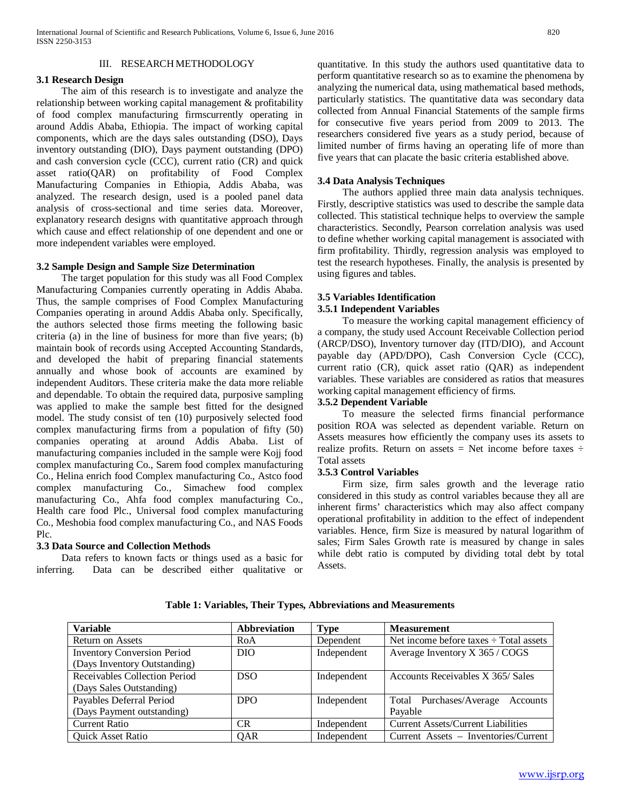## III. RESEARCH METHODOLOGY

## **3.1 Research Design**

 The aim of this research is to investigate and analyze the relationship between working capital management & profitability of food complex manufacturing firmscurrently operating in around Addis Ababa, Ethiopia. The impact of working capital components, which are the days sales outstanding (DSO), Days inventory outstanding (DIO), Days payment outstanding (DPO) and cash conversion cycle (CCC), current ratio (CR) and quick asset ratio(QAR) on profitability of Food Complex Manufacturing Companies in Ethiopia, Addis Ababa, was analyzed. The research design, used is a pooled panel data analysis of cross-sectional and time series data. Moreover, explanatory research designs with quantitative approach through which cause and effect relationship of one dependent and one or more independent variables were employed.

## **3.2 Sample Design and Sample Size Determination**

 The target population for this study was all Food Complex Manufacturing Companies currently operating in Addis Ababa. Thus, the sample comprises of Food Complex Manufacturing Companies operating in around Addis Ababa only. Specifically, the authors selected those firms meeting the following basic criteria (a) in the line of business for more than five years; (b) maintain book of records using Accepted Accounting Standards, and developed the habit of preparing financial statements annually and whose book of accounts are examined by independent Auditors. These criteria make the data more reliable and dependable. To obtain the required data, purposive sampling was applied to make the sample best fitted for the designed model. The study consist of ten (10) purposively selected food complex manufacturing firms from a population of fifty (50) companies operating at around Addis Ababa. List of manufacturing companies included in the sample were Kojj food complex manufacturing Co., Sarem food complex manufacturing Co., Helina enrich food Complex manufacturing Co., Astco food complex manufacturing Co., Simachew food complex manufacturing Co., Ahfa food complex manufacturing Co., Health care food Plc., Universal food complex manufacturing Co., Meshobia food complex manufacturing Co., and NAS Foods Plc.

## **3.3 Data Source and Collection Methods**

 Data refers to known facts or things used as a basic for inferring. Data can be described either qualitative or quantitative. In this study the authors used quantitative data to perform quantitative research so as to examine the phenomena by analyzing the numerical data, using mathematical based methods, particularly statistics. The quantitative data was secondary data collected from Annual Financial Statements of the sample firms for consecutive five years period from 2009 to 2013. The researchers considered five years as a study period, because of limited number of firms having an operating life of more than five years that can placate the basic criteria established above.

## **3.4 Data Analysis Techniques**

 The authors applied three main data analysis techniques. Firstly, descriptive statistics was used to describe the sample data collected. This statistical technique helps to overview the sample characteristics. Secondly, Pearson correlation analysis was used to define whether working capital management is associated with firm profitability. Thirdly, regression analysis was employed to test the research hypotheses. Finally, the analysis is presented by using figures and tables.

## **3.5 Variables Identification**

## **3.5.1 Independent Variables**

 To measure the working capital management efficiency of a company, the study used Account Receivable Collection period (ARCP/DSO), Inventory turnover day (ITD/DIO), and Account payable day (APD/DPO), Cash Conversion Cycle (CCC), current ratio (CR), quick asset ratio (QAR) as independent variables. These variables are considered as ratios that measures working capital management efficiency of firms.

## **3.5.2 Dependent Variable**

 To measure the selected firms financial performance position ROA was selected as dependent variable. Return on Assets measures how efficiently the company uses its assets to realize profits. Return on assets  $=$  Net income before taxes  $\div$ Total assets

## **3.5.3 Control Variables**

 Firm size, firm sales growth and the leverage ratio considered in this study as control variables because they all are inherent firms' characteristics which may also affect company operational profitability in addition to the effect of independent variables. Hence, firm Size is measured by natural logarithm of sales; Firm Sales Growth rate is measured by change in sales while debt ratio is computed by dividing total debt by total Assets.

| <b>Variable</b>                    | <b>Abbreviation</b> | Type        | <b>Measurement</b>                          |
|------------------------------------|---------------------|-------------|---------------------------------------------|
| Return on Assets                   | RoA                 | Dependent   | Net income before taxes $\div$ Total assets |
| <b>Inventory Conversion Period</b> | DIO.                | Independent | Average Inventory X 365 / COGS              |
| (Days Inventory Outstanding)       |                     |             |                                             |
| Receivables Collection Period      | DSO.                | Independent | Accounts Receivables X 365/Sales            |
| (Days Sales Outstanding)           |                     |             |                                             |
| Payables Deferral Period           | DPO <sub>1</sub>    | Independent | Total Purchases/Average<br>Accounts         |
| (Days Payment outstanding)         |                     |             | Payable                                     |
| <b>Current Ratio</b>               | CR                  | Independent | <b>Current Assets/Current Liabilities</b>   |
| <b>Quick Asset Ratio</b>           | QAR                 | Independent | Current Assets – Inventories/Current        |

**Table 1: Variables, Their Types, Abbreviations and Measurements**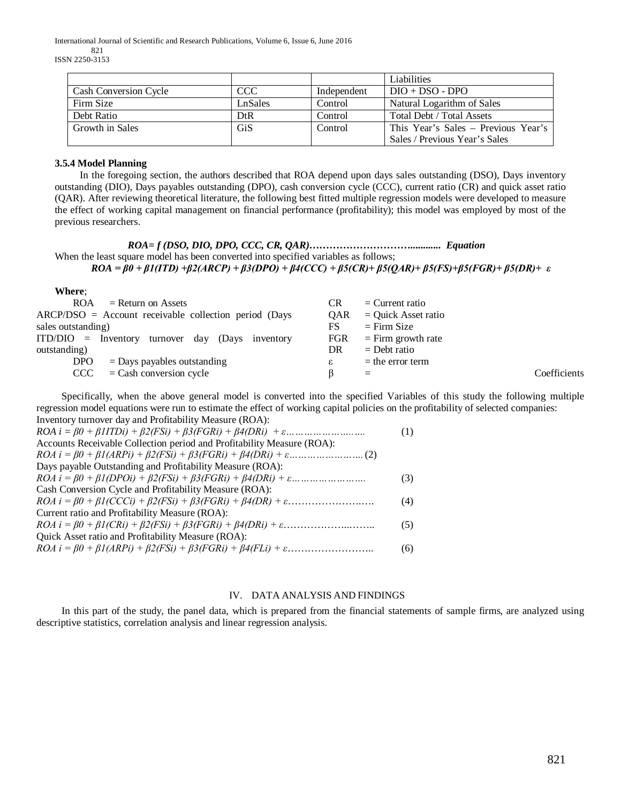International Journal of Scientific and Research Publications, Volume 6, Issue 6, June 2016

821 ISSN 2250-3153

|                              |         |             | Liabilities                         |
|------------------------------|---------|-------------|-------------------------------------|
| <b>Cash Conversion Cycle</b> | CCC.    | Independent | $DIO + DSO - DPO$                   |
| Firm Size                    | LnSales | Control     | Natural Logarithm of Sales          |
| Debt Ratio                   | DtR     | Control     | Total Debt / Total Assets           |
| Growth in Sales              | GiS     | Control     | This Year's Sales – Previous Year's |
|                              |         |             | Sales / Previous Year's Sales       |

## **3.5.4 Model Planning**

 In the foregoing section, the authors described that ROA depend upon days sales outstanding (DSO), Days inventory outstanding (DIO), Days payables outstanding (DPO), cash conversion cycle (CCC), current ratio (CR) and quick asset ratio (QAR). After reviewing theoretical literature, the following best fitted multiple regression models were developed to measure the effect of working capital management on financial performance (profitability); this model was employed by most of the previous researchers.

*ROA= f (DSO, DIO, DPO, CCC, CR, QAR)…………………………............ Equation* When the least square model has been converted into specified variables as follows; *ROA = β0 + β1(ITD) +β2(ARCP) + β3(DPO) + β4(CCC) + β5(CR)+ β5(QAR)+ β5(FS)+β5(FGR)+ β5(DR)+ ε*

## **Where**;

| <b>ROA</b><br>$=$ Return on Assets                        | <b>CR</b>  | $=$ Current ratio     |              |
|-----------------------------------------------------------|------------|-----------------------|--------------|
| $ARCP/DSO = Account receiveable collection period (Days)$ | <b>OAR</b> | $=$ Quick Asset ratio |              |
| sales outstanding)                                        | FS         | $=$ Firm Size         |              |
| $ITD/DIO$ = Inventory turnover day (Days inventory        | <b>FGR</b> | $=$ Firm growth rate  |              |
| outstanding)                                              | DR         | $=$ Debt ratio        |              |
| $=$ Days payables outstanding<br>DPO                      | ε          | $=$ the error term    |              |
| $=$ Cash conversion cycle<br>CCC C                        |            | $=$                   | Coefficients |

 Specifically, when the above general model is converted into the specified Variables of this study the following multiple regression model equations were run to estimate the effect of working capital policies on the profitability of selected companies:  $\frac{1}{2}$ 

| Inventory turnover day and Profitability Measure (ROA).                                                                      |     |
|------------------------------------------------------------------------------------------------------------------------------|-----|
|                                                                                                                              | (1) |
| Accounts Receivable Collection period and Profitability Measure (ROA):                                                       |     |
|                                                                                                                              |     |
| Days payable Outstanding and Profitability Measure (ROA):                                                                    |     |
| $ROA i = \beta 0 + \beta 1 (DPOi) + \beta 2(FSi) + \beta 3(FGRi) + \beta 4(DRi) + \varepsilon \dots \dots \dots \dots \dots$ | (3) |
| Cash Conversion Cycle and Profitability Measure (ROA):                                                                       |     |
|                                                                                                                              | (4) |
| Current ratio and Profitability Measure (ROA):                                                                               |     |
|                                                                                                                              | (5) |
| Quick Asset ratio and Profitability Measure (ROA):                                                                           |     |
|                                                                                                                              | (6) |
|                                                                                                                              |     |

## IV. DATA ANALYSIS AND FINDINGS

 In this part of the study, the panel data, which is prepared from the financial statements of sample firms, are analyzed using descriptive statistics, correlation analysis and linear regression analysis.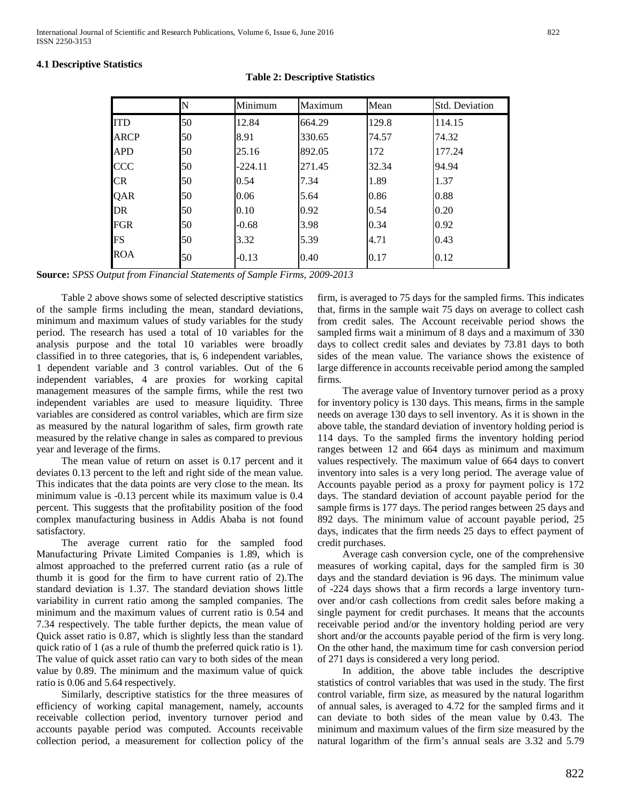## **4.1 Descriptive Statistics**

## **Table 2: Descriptive Statistics**

|             | N  | Minimum | Maximum | Mean  | <b>Std. Deviation</b> |
|-------------|----|---------|---------|-------|-----------------------|
| <b>ITD</b>  | 50 | 12.84   | 664.29  | 129.8 | 114.15                |
| <b>ARCP</b> | 50 | 8.91    | 330.65  | 74.57 | 74.32                 |
| <b>APD</b>  | 50 | 25.16   | 892.05  | 172   | 177.24                |
| <b>CCC</b>  | 50 | -224.11 | 271.45  | 32.34 | 94.94                 |
| <b>CR</b>   | 50 | 0.54    | 7.34    | 1.89  | 1.37                  |
| QAR         | 50 | 0.06    | 5.64    | 0.86  | 0.88                  |
| DR          | 50 | 0.10    | 0.92    | 0.54  | 0.20                  |
| FGR         | 50 | $-0.68$ | 3.98    | 0.34  | 0.92                  |
| FS          | 50 | 3.32    | 5.39    | 4.71  | 0.43                  |
| ROA         | 50 | $-0.13$ | 0.40    | 0.17  | 0.12                  |

**Source:** *SPSS Output from Financial Statements of Sample Firms, 2009-2013*

 Table 2 above shows some of selected descriptive statistics of the sample firms including the mean, standard deviations, minimum and maximum values of study variables for the study period. The research has used a total of 10 variables for the analysis purpose and the total 10 variables were broadly classified in to three categories, that is, 6 independent variables, 1 dependent variable and 3 control variables. Out of the 6 independent variables, 4 are proxies for working capital management measures of the sample firms, while the rest two independent variables are used to measure liquidity. Three variables are considered as control variables, which are firm size as measured by the natural logarithm of sales, firm growth rate measured by the relative change in sales as compared to previous year and leverage of the firms.

 The mean value of return on asset is 0.17 percent and it deviates 0.13 percent to the left and right side of the mean value. This indicates that the data points are very close to the mean. Its minimum value is -0.13 percent while its maximum value is 0.4 percent. This suggests that the profitability position of the food complex manufacturing business in Addis Ababa is not found satisfactory.

 The average current ratio for the sampled food Manufacturing Private Limited Companies is 1.89, which is almost approached to the preferred current ratio (as a rule of thumb it is good for the firm to have current ratio of 2).The standard deviation is 1.37. The standard deviation shows little variability in current ratio among the sampled companies. The minimum and the maximum values of current ratio is 0.54 and 7.34 respectively. The table further depicts, the mean value of Quick asset ratio is 0.87, which is slightly less than the standard quick ratio of 1 (as a rule of thumb the preferred quick ratio is 1). The value of quick asset ratio can vary to both sides of the mean value by 0.89. The minimum and the maximum value of quick ratio is 0.06 and 5.64 respectively.

 Similarly, descriptive statistics for the three measures of efficiency of working capital management, namely, accounts receivable collection period, inventory turnover period and accounts payable period was computed. Accounts receivable collection period, a measurement for collection policy of the firm, is averaged to 75 days for the sampled firms. This indicates that, firms in the sample wait 75 days on average to collect cash from credit sales. The Account receivable period shows the sampled firms wait a minimum of 8 days and a maximum of 330 days to collect credit sales and deviates by 73.81 days to both sides of the mean value. The variance shows the existence of large difference in accounts receivable period among the sampled firms.

 The average value of Inventory turnover period as a proxy for inventory policy is 130 days. This means, firms in the sample needs on average 130 days to sell inventory. As it is shown in the above table, the standard deviation of inventory holding period is 114 days. To the sampled firms the inventory holding period ranges between 12 and 664 days as minimum and maximum values respectively. The maximum value of 664 days to convert inventory into sales is a very long period. The average value of Accounts payable period as a proxy for payment policy is 172 days. The standard deviation of account payable period for the sample firms is 177 days. The period ranges between 25 days and 892 days. The minimum value of account payable period, 25 days, indicates that the firm needs 25 days to effect payment of credit purchases.

 Average cash conversion cycle, one of the comprehensive measures of working capital, days for the sampled firm is 30 days and the standard deviation is 96 days. The minimum value of -224 days shows that a firm records a large inventory turnover and/or cash collections from credit sales before making a single payment for credit purchases. It means that the accounts receivable period and/or the inventory holding period are very short and/or the accounts payable period of the firm is very long. On the other hand, the maximum time for cash conversion period of 271 days is considered a very long period.

 In addition, the above table includes the descriptive statistics of control variables that was used in the study. The first control variable, firm size, as measured by the natural logarithm of annual sales, is averaged to 4.72 for the sampled firms and it can deviate to both sides of the mean value by 0.43. The minimum and maximum values of the firm size measured by the natural logarithm of the firm's annual seals are 3.32 and 5.79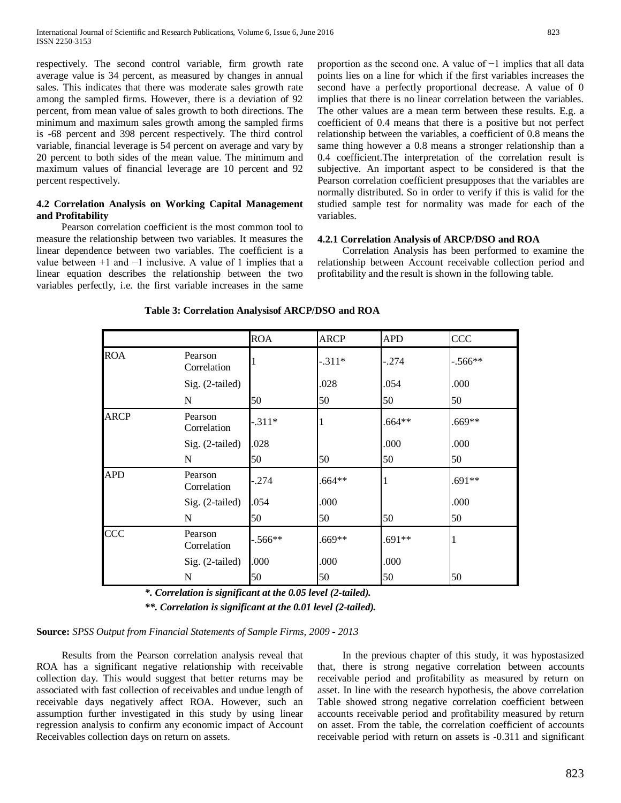respectively. The second control variable, firm growth rate average value is 34 percent, as measured by changes in annual sales. This indicates that there was moderate sales growth rate among the sampled firms. However, there is a deviation of 92 percent, from mean value of sales growth to both directions. The minimum and maximum sales growth among the sampled firms is -68 percent and 398 percent respectively. The third control variable, financial leverage is 54 percent on average and vary by 20 percent to both sides of the mean value. The minimum and maximum values of financial leverage are 10 percent and 92 percent respectively.

## **4.2 Correlation Analysis on Working Capital Management and Profitability**

 Pearson correlation coefficient is the most common tool to measure the relationship between two variables. It measures the linear dependence between two variables. The coefficient is a value between  $+1$  and  $-1$  inclusive. A value of 1 implies that a linear equation describes the relationship between the two variables perfectly, i.e. the first variable increases in the same

proportion as the second one. A value of −1 implies that all data points lies on a line for which if the first variables increases the second have a perfectly proportional decrease. A value of 0 implies that there is no linear correlation between the variables. The other values are a mean term between these results. E.g. a coefficient of 0.4 means that there is a positive but not perfect relationship between the variables, a coefficient of 0.8 means the same thing however a 0.8 means a stronger relationship than a 0.4 coefficient.The interpretation of the correlation result is subjective. An important aspect to be considered is that the Pearson correlation coefficient presupposes that the variables are normally distributed. So in order to verify if this is valid for the studied sample test for normality was made for each of the variables.

## **4.2.1 Correlation Analysis of ARCP/DSO and ROA**

 Correlation Analysis has been performed to examine the relationship between Account receivable collection period and profitability and the result is shown in the following table.

|             |                        | <b>ROA</b> | <b>ARCP</b> | <b>APD</b> | <b>CCC</b> |
|-------------|------------------------|------------|-------------|------------|------------|
| <b>ROA</b>  | Pearson<br>Correlation |            | $-.311*$    | $-.274$    | $-.566**$  |
|             | Sig. (2-tailed)        |            | .028        | .054       | .000       |
|             | N                      | 50         | 50          | 50         | 50         |
| <b>ARCP</b> | Pearson<br>Correlation | $-311*$    |             | $.664**$   | .669**     |
|             | Sig. (2-tailed)        | .028       |             | .000       | .000       |
|             | N                      | 50         | 50          | 50         | 50         |
| <b>APD</b>  | Pearson<br>Correlation | .274       | .664**      | 1          | $.691**$   |
|             | Sig. (2-tailed)        | .054       | .000        |            | .000       |
|             | N                      | 50         | 50          | 50         | 50         |
| <b>CCC</b>  | Pearson<br>Correlation | $-0.566**$ | .669**      | $.691**$   |            |
|             | Sig. (2-tailed)        | .000       | .000        | .000       |            |
|             | N                      | 50         | 50          | 50         | 50         |

**Table 3: Correlation Analysisof ARCP/DSO and ROA**

*\*. Correlation is significant at the 0.05 level (2-tailed).*

*\*\*. Correlation is significant at the 0.01 level (2-tailed).*

## **Source:** *SPSS Output from Financial Statements of Sample Firms, 2009 - 2013*

 Results from the Pearson correlation analysis reveal that ROA has a significant negative relationship with receivable collection day. This would suggest that better returns may be associated with fast collection of receivables and undue length of receivable days negatively affect ROA. However, such an assumption further investigated in this study by using linear regression analysis to confirm any economic impact of Account Receivables collection days on return on assets.

 In the previous chapter of this study, it was hypostasized that, there is strong negative correlation between accounts receivable period and profitability as measured by return on asset. In line with the research hypothesis, the above correlation Table showed strong negative correlation coefficient between accounts receivable period and profitability measured by return on asset. From the table, the correlation coefficient of accounts receivable period with return on assets is -0.311 and significant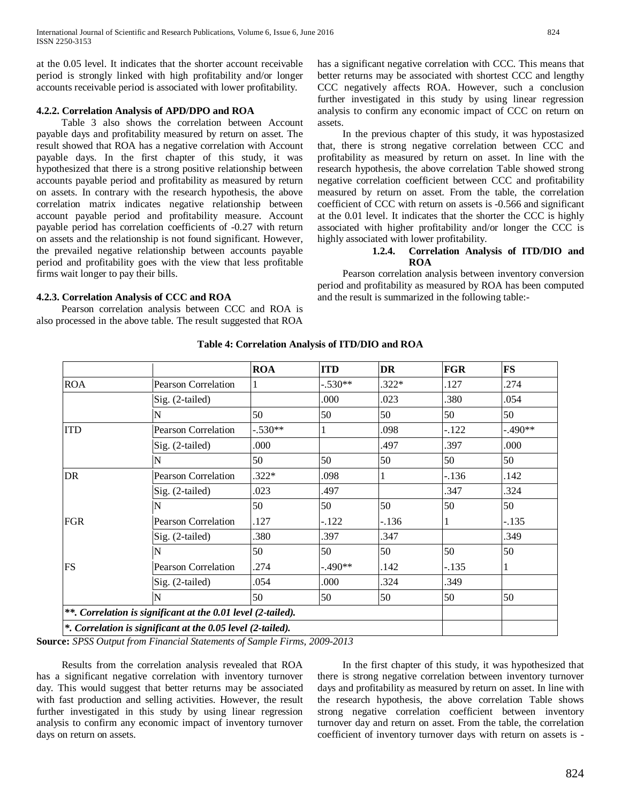at the 0.05 level. It indicates that the shorter account receivable period is strongly linked with high profitability and/or longer accounts receivable period is associated with lower profitability.

## **4.2.2. Correlation Analysis of APD/DPO and ROA**

 Table 3 also shows the correlation between Account payable days and profitability measured by return on asset. The result showed that ROA has a negative correlation with Account payable days. In the first chapter of this study, it was hypothesized that there is a strong positive relationship between accounts payable period and profitability as measured by return on assets. In contrary with the research hypothesis, the above correlation matrix indicates negative relationship between account payable period and profitability measure. Account payable period has correlation coefficients of -0.27 with return on assets and the relationship is not found significant. However, the prevailed negative relationship between accounts payable period and profitability goes with the view that less profitable firms wait longer to pay their bills.

## **4.2.3. Correlation Analysis of CCC and ROA**

 Pearson correlation analysis between CCC and ROA is also processed in the above table. The result suggested that ROA has a significant negative correlation with CCC. This means that better returns may be associated with shortest CCC and lengthy CCC negatively affects ROA. However, such a conclusion further investigated in this study by using linear regression analysis to confirm any economic impact of CCC on return on assets.

 In the previous chapter of this study, it was hypostasized that, there is strong negative correlation between CCC and profitability as measured by return on asset. In line with the research hypothesis, the above correlation Table showed strong negative correlation coefficient between CCC and profitability measured by return on asset. From the table, the correlation coefficient of CCC with return on assets is -0.566 and significant at the 0.01 level. It indicates that the shorter the CCC is highly associated with higher profitability and/or longer the CCC is highly associated with lower profitability.

## **1.2.4. Correlation Analysis of ITD/DIO and ROA**

 Pearson correlation analysis between inventory conversion period and profitability as measured by ROA has been computed and the result is summarized in the following table:-

|                            | <b>ROA</b> | <b>ITD</b>                                                                                                                  | <b>DR</b> | <b>FGR</b> | <b>FS</b> |
|----------------------------|------------|-----------------------------------------------------------------------------------------------------------------------------|-----------|------------|-----------|
| <b>Pearson Correlation</b> |            | $-.530**$                                                                                                                   | $.322*$   | .127       | .274      |
| Sig. (2-tailed)            |            | .000                                                                                                                        | .023      | .380       | .054      |
| N                          | 50         | 50                                                                                                                          | 50        | 50         | 50        |
| <b>Pearson Correlation</b> | $-.530**$  |                                                                                                                             | .098      | $-122$     | $-.490**$ |
| Sig. (2-tailed)            | .000       |                                                                                                                             | .497      | .397       | .000      |
| N                          | 50         | 50                                                                                                                          | 50        | 50         | 50        |
| <b>Pearson Correlation</b> | $.322*$    | .098                                                                                                                        |           | $-.136$    | .142      |
| Sig. (2-tailed)            | .023       | .497                                                                                                                        |           | .347       | .324      |
| N                          | 50         | 50                                                                                                                          | 50        | 50         | 50        |
| <b>Pearson Correlation</b> | .127       | $-122$                                                                                                                      | $-136$    | 1          | $-.135$   |
| Sig. (2-tailed)            | 380        | .397                                                                                                                        | .347      |            | .349      |
| N                          | 50         | 50                                                                                                                          | 50        | 50         | 50        |
| <b>Pearson Correlation</b> | .274       | $-.490**$                                                                                                                   | .142      | $-.135$    | 1         |
| Sig. (2-tailed)            | .054       | .000                                                                                                                        | .324      | .349       |           |
| N                          | 50         | 50                                                                                                                          | 50        | 50         | 50        |
|                            |            |                                                                                                                             |           |            |           |
|                            |            |                                                                                                                             |           |            |           |
|                            |            | **. Correlation is significant at the 0.01 level (2-tailed).<br>*. Correlation is significant at the 0.05 level (2-tailed). |           |            |           |

**Table 4: Correlation Analysis of ITD/DIO and ROA**

**Source:** *SPSS Output from Financial Statements of Sample Firms, 2009-2013*

 Results from the correlation analysis revealed that ROA has a significant negative correlation with inventory turnover day. This would suggest that better returns may be associated with fast production and selling activities. However, the result further investigated in this study by using linear regression analysis to confirm any economic impact of inventory turnover days on return on assets.

 In the first chapter of this study, it was hypothesized that there is strong negative correlation between inventory turnover days and profitability as measured by return on asset. In line with the research hypothesis, the above correlation Table shows strong negative correlation coefficient between inventory turnover day and return on asset. From the table, the correlation coefficient of inventory turnover days with return on assets is -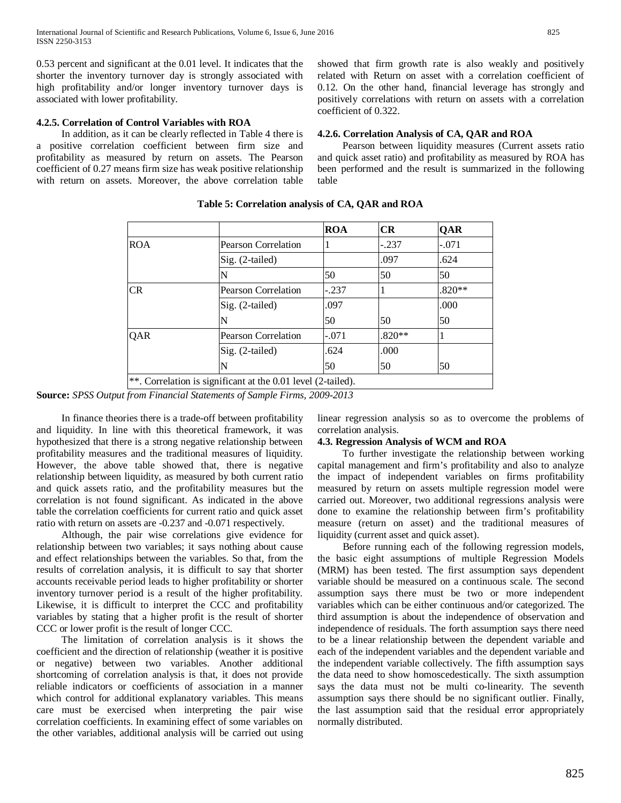0.53 percent and significant at the 0.01 level. It indicates that the shorter the inventory turnover day is strongly associated with high profitability and/or longer inventory turnover days is associated with lower profitability.

## **4.2.5. Correlation of Control Variables with ROA**

 In addition, as it can be clearly reflected in Table 4 there is a positive correlation coefficient between firm size and profitability as measured by return on assets. The Pearson coefficient of 0.27 means firm size has weak positive relationship with return on assets. Moreover, the above correlation table showed that firm growth rate is also weakly and positively related with Return on asset with a correlation coefficient of 0.12. On the other hand, financial leverage has strongly and positively correlations with return on assets with a correlation coefficient of 0.322.

#### **4.2.6. Correlation Analysis of CA, QAR and ROA**

 Pearson between liquidity measures (Current assets ratio and quick asset ratio) and profitability as measured by ROA has been performed and the result is summarized in the following table

|            |                                                              | <b>ROA</b> | CR       | QAR      |
|------------|--------------------------------------------------------------|------------|----------|----------|
| <b>ROA</b> | Pearson Correlation                                          |            | $-.237$  | $-.071$  |
|            | Sig. (2-tailed)                                              |            | .097     | .624     |
|            |                                                              | 50         | 50       | 50       |
| CR.        | <b>Pearson Correlation</b>                                   | $-.237$    |          | $.820**$ |
|            | $Sig. (2-tailed)$                                            | .097       |          | .000     |
|            |                                                              | 50         | 50       | 50       |
| QAR        | <b>Pearson Correlation</b>                                   | $-.071$    | $.820**$ |          |
|            | $Sig. (2-tailed)$                                            | .624       | .000     |          |
|            | N                                                            | 50         | 50       | 50       |
|            | **. Correlation is significant at the 0.01 level (2-tailed). |            |          |          |

**Table 5: Correlation analysis of CA, QAR and ROA**

**Source:** *SPSS Output from Financial Statements of Sample Firms, 2009-2013*

 In finance theories there is a trade-off between profitability and liquidity. In line with this theoretical framework, it was hypothesized that there is a strong negative relationship between profitability measures and the traditional measures of liquidity. However, the above table showed that, there is negative relationship between liquidity, as measured by both current ratio and quick assets ratio, and the profitability measures but the correlation is not found significant. As indicated in the above table the correlation coefficients for current ratio and quick asset ratio with return on assets are -0.237 and -0.071 respectively.

 Although, the pair wise correlations give evidence for relationship between two variables; it says nothing about cause and effect relationships between the variables. So that, from the results of correlation analysis, it is difficult to say that shorter accounts receivable period leads to higher profitability or shorter inventory turnover period is a result of the higher profitability. Likewise, it is difficult to interpret the CCC and profitability variables by stating that a higher profit is the result of shorter CCC or lower profit is the result of longer CCC.

 The limitation of correlation analysis is it shows the coefficient and the direction of relationship (weather it is positive or negative) between two variables. Another additional shortcoming of correlation analysis is that, it does not provide reliable indicators or coefficients of association in a manner which control for additional explanatory variables. This means care must be exercised when interpreting the pair wise correlation coefficients. In examining effect of some variables on the other variables, additional analysis will be carried out using linear regression analysis so as to overcome the problems of correlation analysis.

#### **4.3. Regression Analysis of WCM and ROA**

 To further investigate the relationship between working capital management and firm's profitability and also to analyze the impact of independent variables on firms profitability measured by return on assets multiple regression model were carried out. Moreover, two additional regressions analysis were done to examine the relationship between firm's profitability measure (return on asset) and the traditional measures of liquidity (current asset and quick asset).

 Before running each of the following regression models, the basic eight assumptions of multiple Regression Models (MRM) has been tested. The first assumption says dependent variable should be measured on a continuous scale. The second assumption says there must be two or more independent variables which can be either continuous and/or categorized. The third assumption is about the independence of observation and independence of residuals. The forth assumption says there need to be a linear relationship between the dependent variable and each of the independent variables and the dependent variable and the independent variable collectively. The fifth assumption says the data need to show homoscedestically. The sixth assumption says the data must not be multi co-linearity. The seventh assumption says there should be no significant outlier. Finally, the last assumption said that the residual error appropriately normally distributed.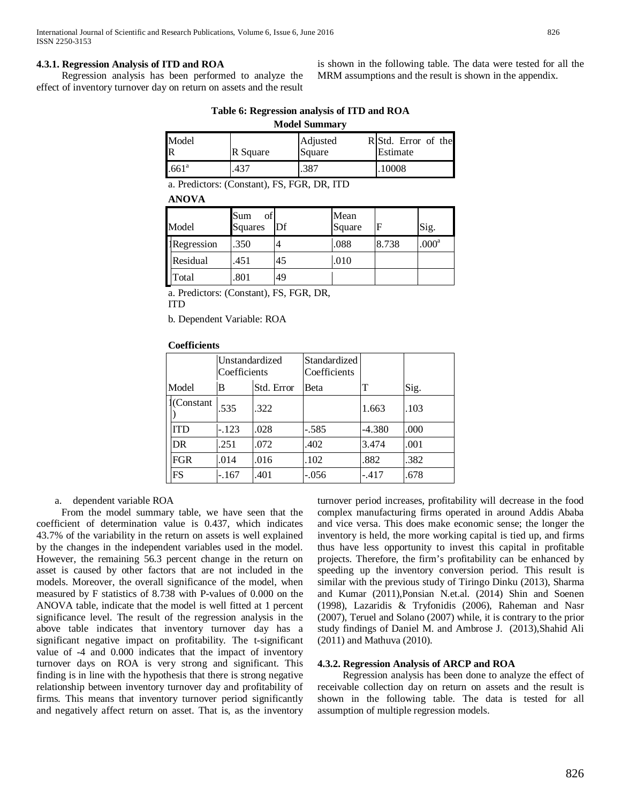## **4.3.1. Regression Analysis of ITD and ROA**

 Regression analysis has been performed to analyze the effect of inventory turnover day on return on assets and the result

is shown in the following table. The data were tested for all the MRM assumptions and the result is shown in the appendix.

| I<br>۰,<br>M. |  |
|---------------|--|

| Table 6: Regression analysis of ITD and ROA |  |  |
|---------------------------------------------|--|--|
|                                             |  |  |

| <b>NOUTE DUMINIQUE</b> |          |                    |                                 |  |  |  |  |
|------------------------|----------|--------------------|---------------------------------|--|--|--|--|
| Model<br>R             | R Square | Adjusted<br>Square | R Std. Error of the<br>Estimate |  |  |  |  |
| .661 <sup>a</sup>      | .437     | 387                | 10008                           |  |  |  |  |

a. Predictors: (Constant), FS, FGR, DR, ITD

## **ANOVA**

| Model      | Sum<br>of<br>Squares | Df | Mean<br>Square | F     | Sig.           |
|------------|----------------------|----|----------------|-------|----------------|
| Regression | .350                 |    | .088           | 8.738 | $.000^{\rm a}$ |
| Residual   | .451                 | 45 | .010           |       |                |
| Total      | .801                 | 49 |                |       |                |

a. Predictors: (Constant), FS, FGR, DR,

ITD

b. Dependent Variable: ROA

## **Coefficients**

|                | Unstandardized<br>Coefficients |            | Standardized<br>Coefficients |          |      |
|----------------|--------------------------------|------------|------------------------------|----------|------|
| Model          | В                              | Std. Error | Beta                         | T        | Sig. |
| l(Constant)    | .535                           | .322       |                              | 1.663    | .103 |
| <b>ITD</b>     | $-.123$                        | .028       | $-.585$                      | $-4.380$ | .000 |
| D <sub>R</sub> | .251                           | .072       | .402                         | 3.474    | .001 |
| <b>FGR</b>     | .014                           | .016       | .102                         | .882     | .382 |
| FS             | $-.167$                        | .401       | $-.056$                      | $-.417$  | .678 |

a. dependent variable ROA

 From the model summary table, we have seen that the coefficient of determination value is 0.437, which indicates 43.7% of the variability in the return on assets is well explained by the changes in the independent variables used in the model. However, the remaining 56.3 percent change in the return on asset is caused by other factors that are not included in the models. Moreover, the overall significance of the model, when measured by F statistics of 8.738 with P-values of 0.000 on the ANOVA table, indicate that the model is well fitted at 1 percent significance level. The result of the regression analysis in the above table indicates that inventory turnover day has a significant negative impact on profitability. The t-significant value of -4 and 0.000 indicates that the impact of inventory turnover days on ROA is very strong and significant. This finding is in line with the hypothesis that there is strong negative relationship between inventory turnover day and profitability of firms. This means that inventory turnover period significantly and negatively affect return on asset. That is, as the inventory turnover period increases, profitability will decrease in the food complex manufacturing firms operated in around Addis Ababa and vice versa. This does make economic sense; the longer the inventory is held, the more working capital is tied up, and firms thus have less opportunity to invest this capital in profitable projects. Therefore, the firm's profitability can be enhanced by speeding up the inventory conversion period. This result is similar with the previous study of Tiringo Dinku (2013), Sharma and Kumar (2011),Ponsian N.et.al. (2014) Shin and Soenen (1998), Lazaridis & Tryfonidis (2006), Raheman and Nasr (2007), Teruel and Solano (2007) while, it is contrary to the prior study findings of Daniel M. and Ambrose J. (2013),Shahid Ali (2011) and Mathuva (2010).

# **4.3.2. Regression Analysis of ARCP and ROA**

 Regression analysis has been done to analyze the effect of receivable collection day on return on assets and the result is shown in the following table. The data is tested for all assumption of multiple regression models.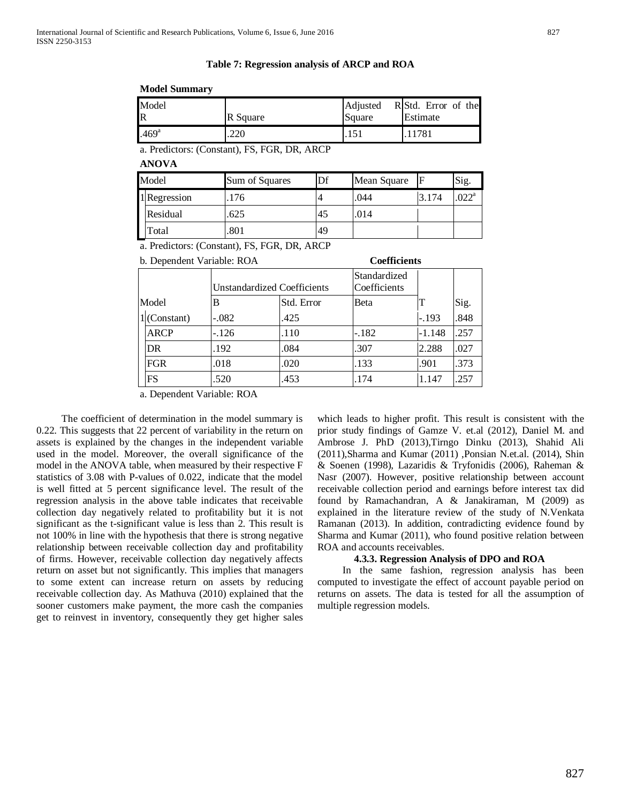#### **Table 7: Regression analysis of ARCP and ROA**

#### **Model Summary**

| Model             | R Square | Adjusted | R Std. Error of the |
|-------------------|----------|----------|---------------------|
| R                 |          | Square   | Estimate            |
| .469 <sup>a</sup> | 220      |          | 1781                |

a. Predictors: (Constant), FS, FGR, DR, ARCP

**ANOVA**

| Model |              | Sum of Squares | IDf<br>Mean Square |      |       | Sig.           |
|-------|--------------|----------------|--------------------|------|-------|----------------|
|       | 1 Regression | 176            |                    | .044 | 3.174 | $.022^{\rm a}$ |
|       | Residual     | .625           | 45                 | .014 |       |                |
|       | Гоtal        | .801           | 49                 |      |       |                |

a. Predictors: (Constant), FS, FGR, DR, ARCP

| b. Dependent Variable: ROA | <b>Coefficients</b> |  |
|----------------------------|---------------------|--|
|                            |                     |  |

| Coefficients |  |
|--------------|--|
|              |  |

|       |                | Unstandardized Coefficients |            | Standardized<br>Coefficients |          |      |
|-------|----------------|-----------------------------|------------|------------------------------|----------|------|
| Model |                | В                           | Std. Error | Beta                         |          | Sig. |
|       | $1$ (Constant) | $-.082$                     | .425       |                              | $-.193$  | .848 |
|       | <b>ARCP</b>    | $-126$                      | .110       | $-.182$                      | $-1.148$ | .257 |
|       | DR.            | .192                        | .084       | .307                         | 2.288    | .027 |
|       | FGR            | .018                        | .020       | .133                         | .901     | .373 |
|       | FS             | .520                        | .453       | .174                         | 1.147    | .257 |

a. Dependent Variable: ROA

 The coefficient of determination in the model summary is 0.22. This suggests that 22 percent of variability in the return on assets is explained by the changes in the independent variable used in the model. Moreover, the overall significance of the model in the ANOVA table, when measured by their respective F statistics of 3.08 with P-values of 0.022, indicate that the model is well fitted at 5 percent significance level. The result of the regression analysis in the above table indicates that receivable collection day negatively related to profitability but it is not significant as the t-significant value is less than 2. This result is not 100% in line with the hypothesis that there is strong negative relationship between receivable collection day and profitability of firms. However, receivable collection day negatively affects return on asset but not significantly. This implies that managers to some extent can increase return on assets by reducing receivable collection day. As Mathuva (2010) explained that the sooner customers make payment, the more cash the companies get to reinvest in inventory, consequently they get higher sales

which leads to higher profit. This result is consistent with the prior study findings of Gamze V. et.al (2012), Daniel M. and Ambrose J. PhD (2013),Tirngo Dinku (2013), Shahid Ali (2011),Sharma and Kumar (2011) ,Ponsian N.et.al. (2014), Shin & Soenen (1998), Lazaridis & Tryfonidis (2006), Raheman & Nasr (2007). However, positive relationship between account receivable collection period and earnings before interest tax did found by Ramachandran, A & Janakiraman, M (2009) as explained in the literature review of the study of N.Venkata Ramanan (2013). In addition, contradicting evidence found by Sharma and Kumar (2011), who found positive relation between ROA and accounts receivables.

## **4.3.3. Regression Analysis of DPO and ROA**

 In the same fashion, regression analysis has been computed to investigate the effect of account payable period on returns on assets. The data is tested for all the assumption of multiple regression models.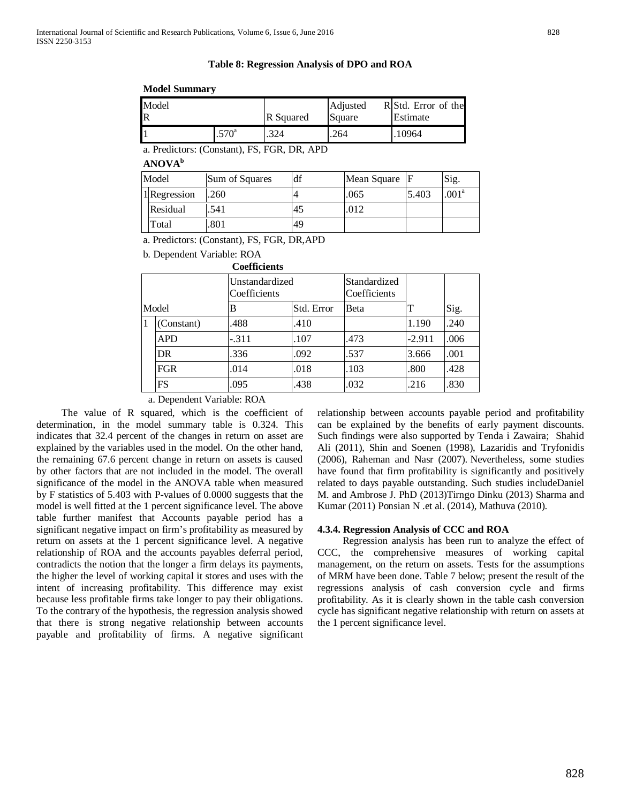## **Table 8: Regression Analysis of DPO and ROA**

## **Model Summary**

| Model |               | <b>R</b> Squared | Adjusted | R Std. Error of the |
|-------|---------------|------------------|----------|---------------------|
| R     |               |                  | Square   | Estimate            |
|       | $570^{\circ}$ | .324             | .264     | 10964               |

a. Predictors: (Constant), FS, FGR, DR, APD

| b<br><b>ANOVA</b> |  |
|-------------------|--|
|-------------------|--|

| Model |              | df<br>Sum of Squares<br>Mean Square |    |      | Sig.  |                   |
|-------|--------------|-------------------------------------|----|------|-------|-------------------|
|       | 1 Regression | .260                                |    | .065 | 5.403 | .001 <sup>a</sup> |
|       | Residual     | 541                                 | 45 | .012 |       |                   |
|       | Total        | 801                                 | 49 |      |       |                   |

a. Predictors: (Constant), FS, FGR, DR,APD

b. Dependent Variable: ROA

|       |            | <b>Coefficients</b>            |            |                              |          |      |  |
|-------|------------|--------------------------------|------------|------------------------------|----------|------|--|
|       |            | Unstandardized<br>Coefficients |            | Standardized<br>Coefficients |          |      |  |
| Model |            | В                              | Std. Error | <b>Beta</b>                  | Т        | Sig. |  |
|       | (Constant) | .488                           | .410       |                              | 1.190    | .240 |  |
|       | <b>APD</b> | $-.311$                        | .107       | .473                         | $-2.911$ | .006 |  |
|       | DR.        | .336                           | .092       | .537                         | 3.666    | .001 |  |
|       | <b>FGR</b> | .014                           | .018       | .103                         | .800     | .428 |  |
|       | FS         | .095                           | .438       | .032                         | .216     | .830 |  |

# a. Dependent Variable: ROA

 The value of R squared, which is the coefficient of determination, in the model summary table is 0.324. This indicates that 32.4 percent of the changes in return on asset are explained by the variables used in the model. On the other hand, the remaining 67.6 percent change in return on assets is caused by other factors that are not included in the model. The overall significance of the model in the ANOVA table when measured by F statistics of 5.403 with P-values of 0.0000 suggests that the model is well fitted at the 1 percent significance level. The above table further manifest that Accounts payable period has a significant negative impact on firm's profitability as measured by return on assets at the 1 percent significance level. A negative relationship of ROA and the accounts payables deferral period, contradicts the notion that the longer a firm delays its payments, the higher the level of working capital it stores and uses with the intent of increasing profitability. This difference may exist because less profitable firms take longer to pay their obligations. To the contrary of the hypothesis, the regression analysis showed that there is strong negative relationship between accounts payable and profitability of firms. A negative significant relationship between accounts payable period and profitability can be explained by the benefits of early payment discounts. Such findings were also supported by Tenda i Zawaira; Shahid Ali (2011), Shin and Soenen (1998), Lazaridis and Tryfonidis (2006), Raheman and Nasr (2007). Nevertheless, some studies have found that firm profitability is significantly and positively related to days payable outstanding. Such studies includeDaniel M. and Ambrose J. PhD (2013)Tirngo Dinku (2013) Sharma and Kumar (2011) Ponsian N .et al. (2014), Mathuva (2010).

# **4.3.4. Regression Analysis of CCC and ROA**

 Regression analysis has been run to analyze the effect of CCC, the comprehensive measures of working capital management, on the return on assets. Tests for the assumptions of MRM have been done. Table 7 below; present the result of the regressions analysis of cash conversion cycle and firms profitability. As it is clearly shown in the table cash conversion cycle has significant negative relationship with return on assets at the 1 percent significance level.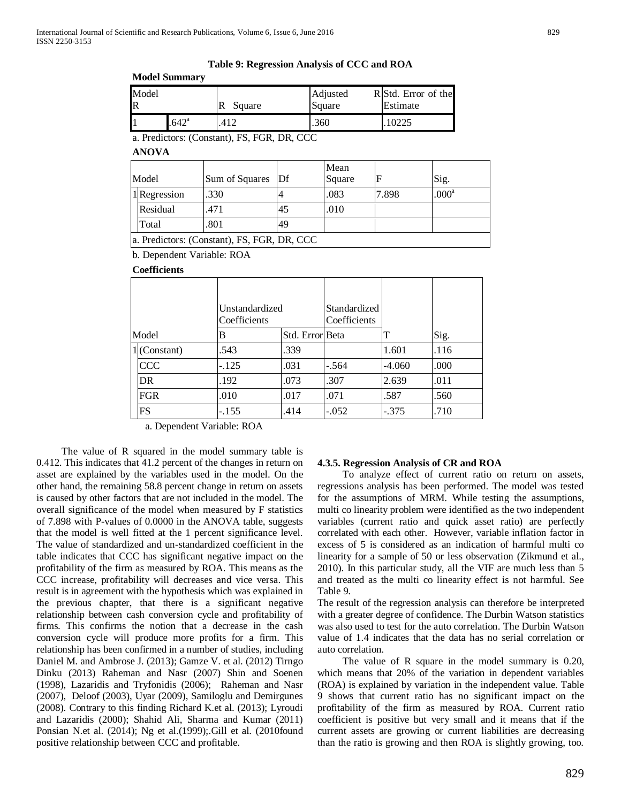**Table 9: Regression Analysis of CCC and ROA**

**Model Summary**

| Model                   |                | Square     | Adjusted | R Std. Error of the |  |
|-------------------------|----------------|------------|----------|---------------------|--|
| $\overline{\mathbb{R}}$ |                |            | Square   | Estimate            |  |
|                         | $.642^{\circ}$ | $41^\circ$ | .360     |                     |  |

a. Predictors: (Constant), FS, FGR, DR, CCC

**ANOVA**

| Model                                       | Sum of Squares Df |    | Mean<br>Square |       | Sig.              |  |  |
|---------------------------------------------|-------------------|----|----------------|-------|-------------------|--|--|
| 1 Regression                                | .330              |    | .083           | 7.898 | .000 <sup>a</sup> |  |  |
| Residual                                    | 471               | 45 | .010           |       |                   |  |  |
| Total                                       | .801              | 49 |                |       |                   |  |  |
| a. Predictors: (Constant), FS, FGR, DR, CCC |                   |    |                |       |                   |  |  |

b. Dependent Variable: ROA

#### **Coefficients**

| Unstandardized<br>Coefficients |                |         | Standardized<br>Coefficients |         |          |      |
|--------------------------------|----------------|---------|------------------------------|---------|----------|------|
| Model                          |                | В       | Std. Error Beta              |         | т        | Sig. |
|                                | $1$ (Constant) | .543    | .339                         |         | 1.601    | .116 |
|                                | <b>CCC</b>     | $-.125$ | .031                         | $-.564$ | $-4.060$ | .000 |
|                                | DR.            | .192    | .073                         | .307    | 2.639    | .011 |
|                                | FGR            | .010    | .017                         | .071    | .587     | .560 |
|                                | FS             | $-.155$ | .414                         | $-.052$ | $-.375$  | .710 |

a. Dependent Variable: ROA

 The value of R squared in the model summary table is 0.412. This indicates that 41.2 percent of the changes in return on asset are explained by the variables used in the model. On the other hand, the remaining 58.8 percent change in return on assets is caused by other factors that are not included in the model. The overall significance of the model when measured by F statistics of 7.898 with P-values of 0.0000 in the ANOVA table, suggests that the model is well fitted at the 1 percent significance level. The value of standardized and un-standardized coefficient in the table indicates that CCC has significant negative impact on the profitability of the firm as measured by ROA. This means as the CCC increase, profitability will decreases and vice versa. This result is in agreement with the hypothesis which was explained in the previous chapter, that there is a significant negative relationship between cash conversion cycle and profitability of firms. This confirms the notion that a decrease in the cash conversion cycle will produce more profits for a firm. This relationship has been confirmed in a number of studies, including Daniel M. and Ambrose J. (2013); Gamze V. et al. (2012) Tirngo Dinku (2013) Raheman and Nasr (2007) Shin and Soenen (1998), Lazaridis and Tryfonidis (2006); Raheman and Nasr (2007), Deloof (2003), Uyar (2009), Samiloglu and Demirgunes (2008). Contrary to this finding Richard K.et al. (2013); Lyroudi and Lazaridis (2000); Shahid Ali, Sharma and Kumar (2011) Ponsian N.et al. (2014); Ng et al.(1999);.Gill et al. (2010found positive relationship between CCC and profitable.

## **4.3.5. Regression Analysis of CR and ROA**

 To analyze effect of current ratio on return on assets, regressions analysis has been performed. The model was tested for the assumptions of MRM. While testing the assumptions, multi co linearity problem were identified as the two independent variables (current ratio and quick asset ratio) are perfectly correlated with each other. However, variable inflation factor in excess of 5 is considered as an indication of harmful multi co linearity for a sample of 50 or less observation (Zikmund et al., 2010). In this particular study, all the VIF are much less than 5 and treated as the multi co linearity effect is not harmful. See Table 9.

The result of the regression analysis can therefore be interpreted with a greater degree of confidence. The Durbin Watson statistics was also used to test for the auto correlation. The Durbin Watson value of 1.4 indicates that the data has no serial correlation or auto correlation.

 The value of R square in the model summary is 0.20, which means that 20% of the variation in dependent variables (ROA) is explained by variation in the independent value. Table 9 shows that current ratio has no significant impact on the profitability of the firm as measured by ROA. Current ratio coefficient is positive but very small and it means that if the current assets are growing or current liabilities are decreasing than the ratio is growing and then ROA is slightly growing, too.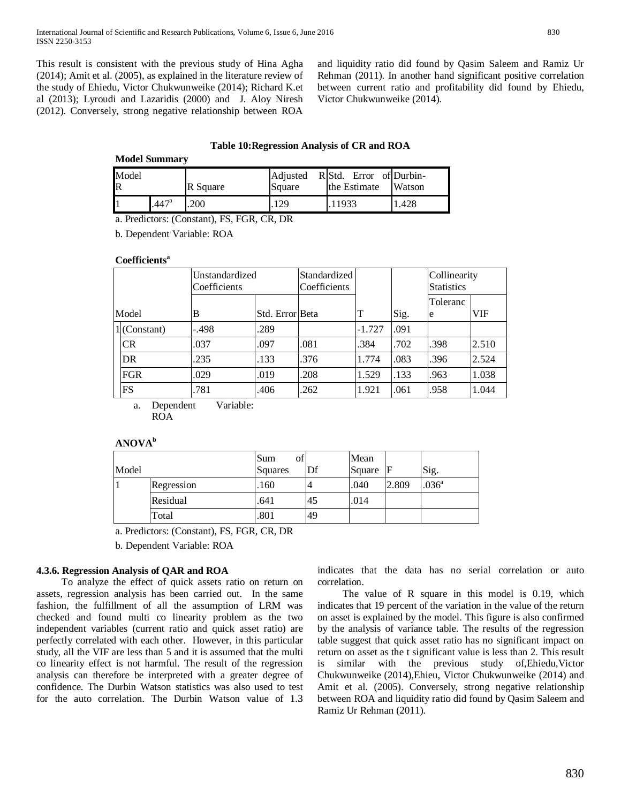This result is consistent with the previous study of Hina Agha (2014); Amit et al. (2005), as explained in the literature review of the study of Ehiedu, Victor Chukwunweike (2014); Richard K.et al (2013); Lyroudi and Lazaridis (2000) and J. Aloy Niresh (2012). Conversely, strong negative relationship between ROA

and liquidity ratio did found by Qasim Saleem and Ramiz Ur Rehman (2011). In another hand significant positive correlation between current ratio and profitability did found by Ehiedu, Victor Chukwunweike (2014).

## **Table 10:Regression Analysis of CR and ROA**

| <b>Model Summary</b> |                   |          |                    |                                         |        |  |  |  |  |
|----------------------|-------------------|----------|--------------------|-----------------------------------------|--------|--|--|--|--|
| Model<br>$\mathbf R$ |                   | R Square | Adjusted<br>Square | R Std. Error of Durbin-<br>the Estimate | Watson |  |  |  |  |
|                      | .447 <sup>a</sup> | 200      | 29                 | .11933                                  | .428   |  |  |  |  |

a. Predictors: (Constant), FS, FGR, CR, DR

b. Dependent Variable: ROA

## **Coefficients<sup>a</sup>**

|                              | Unstandardized<br>Coefficients |         | Standardized<br>Coefficients |      |          |      | Collinearity<br><b>Statistics</b> |       |
|------------------------------|--------------------------------|---------|------------------------------|------|----------|------|-----------------------------------|-------|
|                              | Model                          | B       | Std. Error Beta              |      | T        | Sig. | Toleranc<br>e                     | VIF   |
|                              | $1$ (Constant)                 | $-.498$ | .289                         |      | $-1.727$ | .091 |                                   |       |
|                              | CR                             | .037    | .097                         | .081 | .384     | .702 | .398                              | 2.510 |
|                              | <b>DR</b>                      | .235    | .133                         | .376 | 1.774    | .083 | .396                              | 2.524 |
|                              | <b>FGR</b>                     | .029    | .019                         | .208 | 1.529    | .133 | .963                              | 1.038 |
|                              | FS                             | .781    | .406                         | .262 | 1.921    | .061 | .958                              | 1.044 |
| Variable:<br>Dependent<br>a. |                                |         |                              |      |          |      |                                   |       |

ROA

| Model |            | Sum<br>οf<br>Squares | Df             | Mean<br>Square | IF    | Sig.              |
|-------|------------|----------------------|----------------|----------------|-------|-------------------|
|       | Regression | .160                 | $\overline{4}$ | .040           | 2.809 | .036 <sup>a</sup> |
|       | Residual   | .641                 | 45             | .014           |       |                   |
|       | Total      | .801                 | 49             |                |       |                   |

a. Predictors: (Constant), FS, FGR, CR, DR

b. Dependent Variable: ROA

## **4.3.6. Regression Analysis of QAR and ROA**

 To analyze the effect of quick assets ratio on return on assets, regression analysis has been carried out. In the same fashion, the fulfillment of all the assumption of LRM was checked and found multi co linearity problem as the two independent variables (current ratio and quick asset ratio) are perfectly correlated with each other. However, in this particular study, all the VIF are less than 5 and it is assumed that the multi co linearity effect is not harmful. The result of the regression analysis can therefore be interpreted with a greater degree of confidence. The Durbin Watson statistics was also used to test for the auto correlation. The Durbin Watson value of 1.3

indicates that the data has no serial correlation or auto correlation.

The value of R square in this model is 0.19, which indicates that 19 percent of the variation in the value of the return on asset is explained by the model. This figure is also confirmed by the analysis of variance table. The results of the regression table suggest that quick asset ratio has no significant impact on return on asset as the t significant value is less than 2. This result is similar with the previous study of,Ehiedu,Victor Chukwunweike (2014),Ehieu, Victor Chukwunweike (2014) and Amit et al. (2005). Conversely, strong negative relationship between ROA and liquidity ratio did found by Qasim Saleem and Ramiz Ur Rehman (2011).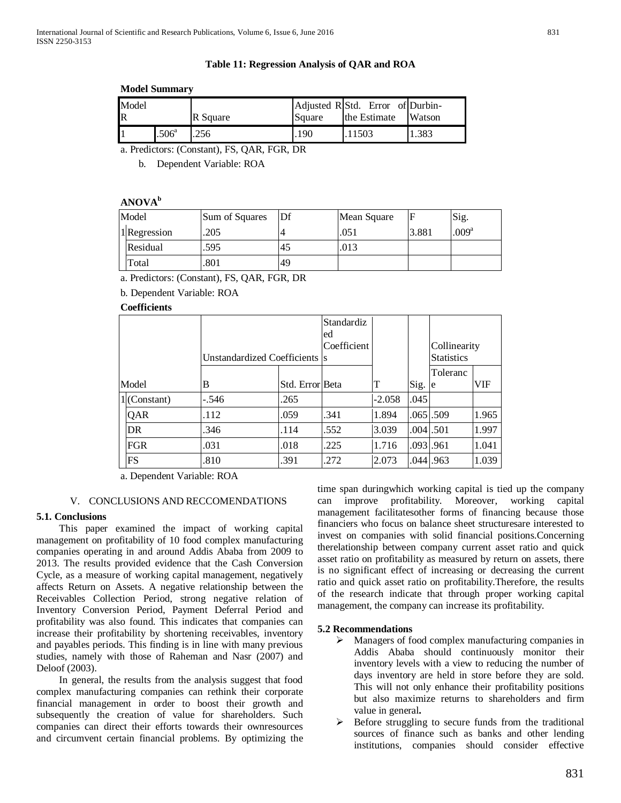## **Table 11: Regression Analysis of QAR and ROA**

## **Model Summary**

| Model<br>$\mathbb{R}$ |                | R Square | Square        | Adjusted R Std. Error of Durbin-<br>the Estimate | Watson |
|-----------------------|----------------|----------|---------------|--------------------------------------------------|--------|
|                       | $.506^{\circ}$ |          | $190^{\circ}$ | .11503                                           | .383   |

a. Predictors: (Constant), FS, QAR, FGR, DR

b. Dependent Variable: ROA

# **ANOVAb**

| Model |              | Sum of Squares | Df | Mean Square |       | Sig.              |
|-------|--------------|----------------|----|-------------|-------|-------------------|
|       | 1 Regression | 205            |    | .051        | 3.881 | .009 <sup>a</sup> |
|       | Residual     | .595           | 45 | .013        |       |                   |
|       | Total        | .801           | 49 |             |       |                   |

a. Predictors: (Constant), FS, QAR, FGR, DR

b. Dependent Variable: ROA

**Coefficients**

|  |                | Unstandardized Coefficients  s | <b>Standardiz</b><br>ed<br>Coefficient |      |          | Collinearity<br><b>Statistics</b> |               |       |
|--|----------------|--------------------------------|----------------------------------------|------|----------|-----------------------------------|---------------|-------|
|  | Model          | B                              | Std. Error Beta                        |      | Т        | Sig.                              | Toleranc<br>e | VIF   |
|  | $1$ (Constant) | $-.546$                        | .265                                   |      | $-2.058$ | .045                              |               |       |
|  | <b>QAR</b>     | .112                           | .059                                   | .341 | 1.894    | .065.509                          |               | 1.965 |
|  | DR             | .346                           | .114                                   | .552 | 3.039    | .0041.501                         |               | 1.997 |
|  | FGR            | .031                           | .018                                   | .225 | 1.716    | .093.961                          |               | 1.041 |
|  | FS             | .810                           | .391                                   | .272 | 2.073    | $.044$ .963                       |               | 1.039 |

a. Dependent Variable: ROA

# V. CONCLUSIONS AND RECCOMENDATIONS

# **5.1. Conclusions**

 This paper examined the impact of working capital management on profitability of 10 food complex manufacturing companies operating in and around Addis Ababa from 2009 to 2013. The results provided evidence that the Cash Conversion Cycle, as a measure of working capital management, negatively affects Return on Assets. A negative relationship between the Receivables Collection Period, strong negative relation of Inventory Conversion Period, Payment Deferral Period and profitability was also found. This indicates that companies can increase their profitability by shortening receivables, inventory and payables periods. This finding is in line with many previous studies, namely with those of Raheman and Nasr (2007) and Deloof (2003).

 In general, the results from the analysis suggest that food complex manufacturing companies can rethink their corporate financial management in order to boost their growth and subsequently the creation of value for shareholders. Such companies can direct their efforts towards their ownresources and circumvent certain financial problems. By optimizing the

time span duringwhich working capital is tied up the company can improve profitability. Moreover, working capital management facilitatesother forms of financing because those financiers who focus on balance sheet structuresare interested to invest on companies with solid financial positions.Concerning therelationship between company current asset ratio and quick asset ratio on profitability as measured by return on assets, there is no significant effect of increasing or decreasing the current ratio and quick asset ratio on profitability.Therefore, the results of the research indicate that through proper working capital management, the company can increase its profitability.

# **5.2 Recommendations**

- Managers of food complex manufacturing companies in Addis Ababa should continuously monitor their inventory levels with a view to reducing the number of days inventory are held in store before they are sold. This will not only enhance their profitability positions but also maximize returns to shareholders and firm value in general**.**
- Before struggling to secure funds from the traditional sources of finance such as banks and other lending institutions, companies should consider effective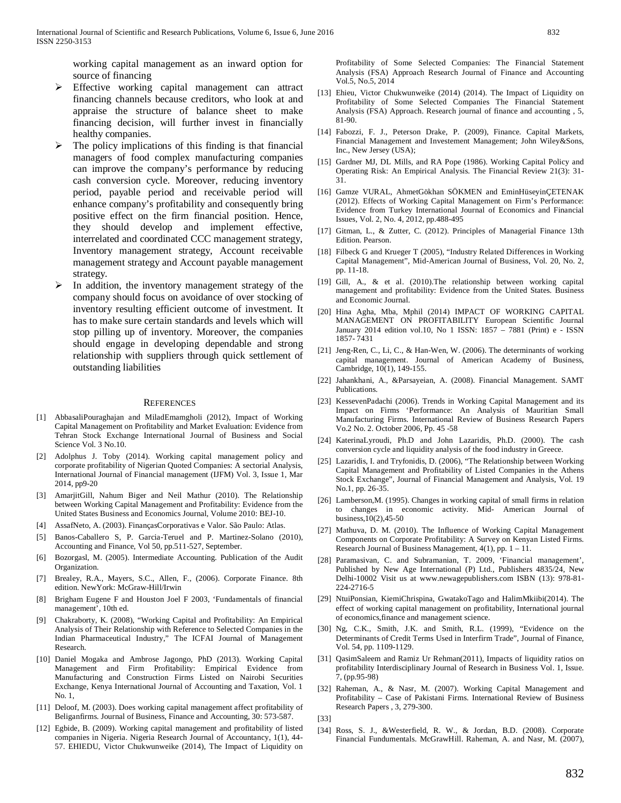working capital management as an inward option for source of financing

- Effective working capital management can attract financing channels because creditors, who look at and appraise the structure of balance sheet to make financing decision, will further invest in financially healthy companies.
- The policy implications of this finding is that financial managers of food complex manufacturing companies can improve the company's performance by reducing cash conversion cycle. Moreover, reducing inventory period, payable period and receivable period will enhance company's profitability and consequently bring positive effect on the firm financial position. Hence, they should develop and implement effective, interrelated and coordinated CCC management strategy, Inventory management strategy, Account receivable management strategy and Account payable management strategy.
- In addition, the inventory management strategy of the company should focus on avoidance of over stocking of inventory resulting efficient outcome of investment. It has to make sure certain standards and levels which will stop pilling up of inventory. Moreover, the companies should engage in developing dependable and strong relationship with suppliers through quick settlement of outstanding liabilities

#### **REFERENCES**

- [1] AbbasaliPouraghajan and MiladEmamgholi (2012), Impact of Working Capital Management on Profitability and Market Evaluation: Evidence from Tehran Stock Exchange International Journal of Business and Social Science Vol. 3 No.10.
- [2] Adolphus J. Toby (2014). Working capital management policy and corporate profitability of Nigerian Quoted Companies: A sectorial Analysis, International Journal of Financial management (IJFM) Vol. 3, Issue 1, Mar 2014, pp9-20
- [3] AmarjitGill, Nahum Biger and Neil Mathur (2010). The Relationship between Working Capital Management and Profitability: Evidence from the United States Business and Economics Journal, Volume 2010: BEJ-10.
- [4] AssafNeto, A. (2003). FinançasCorporativas e Valor. São Paulo: Atlas.
- [5] Banos-Caballero S, P. Garcia-Teruel and P. Martinez-Solano (2010), Accounting and Finance, Vol 50, pp.511-527, September.
- [6] Bozorgasl, M. (2005). Intermediate Accounting. Publication of the Audit Organization.
- [7] Brealey, R.A., Mayers, S.C., Allen, F., (2006). Corporate Finance. 8th edition. NewYork: McGraw-Hill/Irwin
- [8] Brigham Eugene F and Houston Joel F 2003, 'Fundamentals of financial management', 10th ed.
- [9] Chakraborty, K. (2008), "Working Capital and Profitability: An Empirical Analysis of Their Relationship with Reference to Selected Companies in the Indian Pharmaceutical Industry," The ICFAI Journal of Management Research.
- [10] Daniel Mogaka and Ambrose Jagongo, PhD (2013). Working Capital Management and Firm Profitability: Empirical Evidence from Manufacturing and Construction Firms Listed on Nairobi Securities Exchange, Kenya International Journal of Accounting and Taxation, Vol. 1 No. 1,
- [11] Deloof, M. (2003). Does working capital management affect profitability of Beliganfirms. Journal of Business, Finance and Accounting, 30: 573-587.
- [12] Egbide, B. (2009). Working capital management and profitability of listed companies in Nigeria. Nigeria Research Journal of Accountancy, 1(1), 44- 57. EHIEDU, Victor Chukwunweike (2014), The Impact of Liquidity on

Profitability of Some Selected Companies: The Financial Statement Analysis (FSA) Approach Research Journal of Finance and Accounting Vol.5, No.5, 2014

- [13] Ehieu, Victor Chukwunweike (2014) (2014). The Impact of Liquidity on Profitability of Some Selected Companies The Financial Statement Analysis (FSA) Approach. Research journal of finance and accounting , 5, 81-90.
- [14] Fabozzi, F. J., Peterson Drake, P. (2009), Finance. Capital Markets, Financial Management and Investement Management; John Wiley&Sons, Inc., New Jersey (USA);
- [15] Gardner MJ, DL Mills, and RA Pope (1986). Working Capital Policy and Operating Risk: An Empirical Analysis. The Financial Review 21(3): 31- 31.
- [16] Gamze VURAL, AhmetGökhan SÖKMEN and EminHüseyinÇETENAK (2012). Effects of Working Capital Management on Firm's Performance: Evidence from Turkey International Journal of Economics and Financial Issues, Vol. 2, No. 4, 2012, pp.488-495
- [17] Gitman, L., & Zutter, C. (2012). Principles of Managerial Finance 13th Edition. Pearson.
- [18] Filbeck G and Krueger T (2005), "Industry Related Differences in Working Capital Management", Mid-American Journal of Business, Vol. 20, No. 2, pp. 11-18.
- [19] Gill, A., & et al. (2010). The relationship between working capital management and profitability: Evidence from the United States. Business and Economic Journal.
- [20] Hina Agha, Mba, Mphil (2014) IMPACT OF WORKING CAPITAL MANAGEMENT ON PROFITABILITY European Scientific Journal January 2014 edition vol.10, No 1 ISSN: 1857 – 7881 (Print) e - ISSN 1857- 7431
- [21] Jeng-Ren, C., Li, C., & Han-Wen, W. (2006). The determinants of working capital management. Journal of American Academy of Business, Cambridge, 10(1), 149-155.
- [22] Jahankhani, A., &Parsayeian, A. (2008). Financial Management. SAMT Publications.
- [23] KessevenPadachi (2006). Trends in Working Capital Management and its Impact on Firms 'Performance: An Analysis of Mauritian Small Manufacturing Firms. International Review of Business Research Papers Vo.2 No. 2. October 2006, Pp. 45 -58
- [24] KaterinaLyroudi, Ph.D and John Lazaridis, Ph.D. (2000). The cash conversion cycle and liquidity analysis of the food industry in Greece.
- [25] Lazaridis, I. and Tryfonidis, D. (2006), "The Relationship between Working Capital Management and Profitability of Listed Companies in the Athens Stock Exchange", Journal of Financial Management and Analysis, Vol. 19 No.1, pp. 26-35.
- [26] Lamberson, M. (1995). Changes in working capital of small firms in relation to changes in economic activity. Mid- American Journal of business,10(2),45-50
- [27] Mathuva, D. M. (2010). The Influence of Working Capital Management Components on Corporate Profitability: A Survey on Kenyan Listed Firms. Research Journal of Business Management, 4(1), pp. 1 – 11.
- [28] Paramasivan, C. and Subramanian, T. 2009, 'Financial management', Published by New Age International (P) Ltd., Publishers 4835/24, New Delhi-10002 Visit us at www.newagepublishers.com ISBN (13): 978-81- 224-2716-5
- [29] NtuiPonsian, KiemiChrispina, GwatakoTago and HalimMkiibi(2014). The effect of working capital management on profitability, International journal of economics,finance and management science.
- [30] Ng, C.K., Smith, J.K. and Smith, R.L. (1999), "Evidence on the Determinants of Credit Terms Used in Interfirm Trade", Journal of Finance, Vol. 54, pp. 1109-1129.
- [31] QasimSaleem and Ramiz Ur Rehman(2011), Impacts of liquidity ratios on profitability Interdisciplinary Journal of Research in Business Vol. 1, Issue. 7, (pp.95-98)
- [32] Raheman, A., & Nasr, M. (2007). Working Capital Management and Profitability – Case of Pakistani Firms. International Review of Business Research Papers , 3, 279-300.

[33]

[34] Ross, S. J., &Westerfield, R. W., & Jordan, B.D. (2008). Corporate Financial Fundumentals. McGrawHill. Raheman, A. and Nasr, M. (2007),